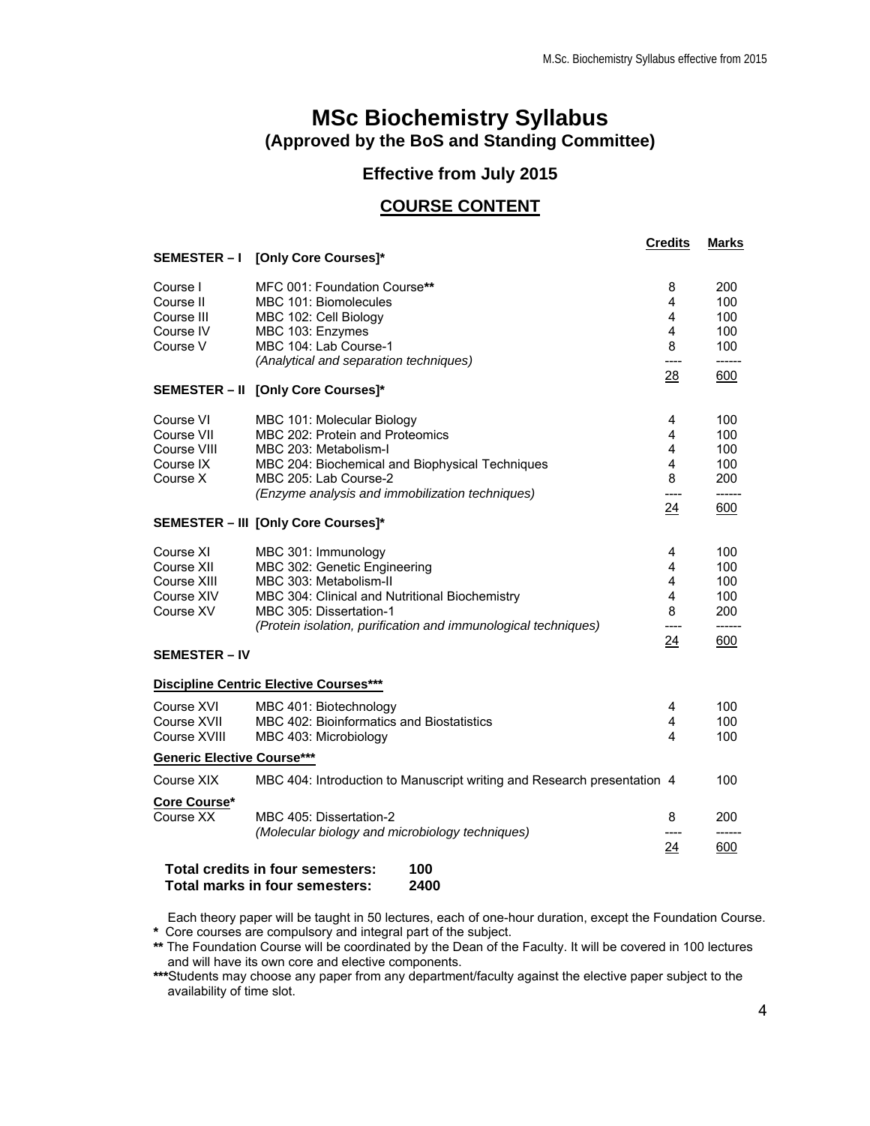# **MSc Biochemistry Syllabus (Approved by the BoS and Standing Committee)**

## **Effective from July 2015**

## **COURSE CONTENT**

|                                                                                   |                                                                           | <b>Credits</b> | <b>Marks</b> |
|-----------------------------------------------------------------------------------|---------------------------------------------------------------------------|----------------|--------------|
|                                                                                   | SEMESTER - I [Only Core Courses]*                                         |                |              |
| Course I                                                                          | MFC 001: Foundation Course**                                              | 8              | 200          |
| Course II                                                                         | MBC 101: Biomolecules                                                     | 4              | 100          |
| Course III                                                                        | MBC 102: Cell Biology                                                     | 4              | 100          |
| Course IV                                                                         | MBC 103: Enzymes                                                          | 4              | 100          |
| Course V                                                                          | MBC 104: Lab Course-1                                                     | 8              | 100          |
|                                                                                   | (Analytical and separation techniques)                                    | ----           | ------       |
|                                                                                   | SEMESTER - II [Only Core Courses]*                                        | 28             | 600          |
|                                                                                   |                                                                           |                |              |
| Course VI                                                                         | MBC 101: Molecular Biology                                                | 4              | 100          |
| Course VII                                                                        | MBC 202: Protein and Proteomics                                           | 4              | 100          |
| Course VIII                                                                       | MBC 203: Metabolism-I                                                     | 4              | 100          |
| Course IX                                                                         | MBC 204: Biochemical and Biophysical Techniques                           | 4              | 100          |
| Course X                                                                          | MBC 205: Lab Course-2                                                     | 8              | 200          |
|                                                                                   | (Enzyme analysis and immobilization techniques)                           | ----           | ------       |
|                                                                                   | <b>SEMESTER - III [Only Core Courses]*</b>                                | 24             | 600          |
|                                                                                   |                                                                           |                |              |
| Course XI                                                                         | MBC 301: Immunology                                                       | 4              | 100          |
| Course XII                                                                        | MBC 302: Genetic Engineering                                              | 4              | 100          |
| Course XIII                                                                       | MBC 303: Metabolism-II                                                    | 4<br>4         | 100          |
| Course XIV<br>Course XV                                                           | MBC 304: Clinical and Nutritional Biochemistry<br>MBC 305: Dissertation-1 | 8              | 100<br>200   |
|                                                                                   | (Protein isolation, purification and immunological techniques)            |                |              |
|                                                                                   |                                                                           | 24             | 600          |
| <b>SEMESTER – IV</b>                                                              |                                                                           |                |              |
| <b>Discipline Centric Elective Courses***</b>                                     |                                                                           |                |              |
| Course XVI                                                                        | MBC 401: Biotechnology                                                    | 4              | 100          |
| Course XVII                                                                       | MBC 402: Bioinformatics and Biostatistics                                 | 4              | 100          |
| Course XVIII                                                                      | MBC 403: Microbiology                                                     | 4              | 100          |
| <b>Generic Elective Course***</b>                                                 |                                                                           |                |              |
| Course XIX                                                                        | MBC 404: Introduction to Manuscript writing and Research presentation 4   |                | 100          |
| Core Course*                                                                      |                                                                           |                |              |
| Course XX                                                                         | MBC 405: Dissertation-2                                                   | 8              | 200          |
|                                                                                   | (Molecular biology and microbiology techniques)                           |                |              |
|                                                                                   |                                                                           | 24             | 600          |
| Total credits in four semesters:<br>100<br>Total marks in four semesters:<br>2400 |                                                                           |                |              |

Each theory paper will be taught in 50 lectures, each of one-hour duration, except the Foundation Course. **\*** Core courses are compulsory and integral part of the subject.

**\*\*** The Foundation Course will be coordinated by the Dean of the Faculty. It will be covered in 100 lectures and will have its own core and elective components.

**\*\*\***Students may choose any paper from any department/faculty against the elective paper subject to the availability of time slot.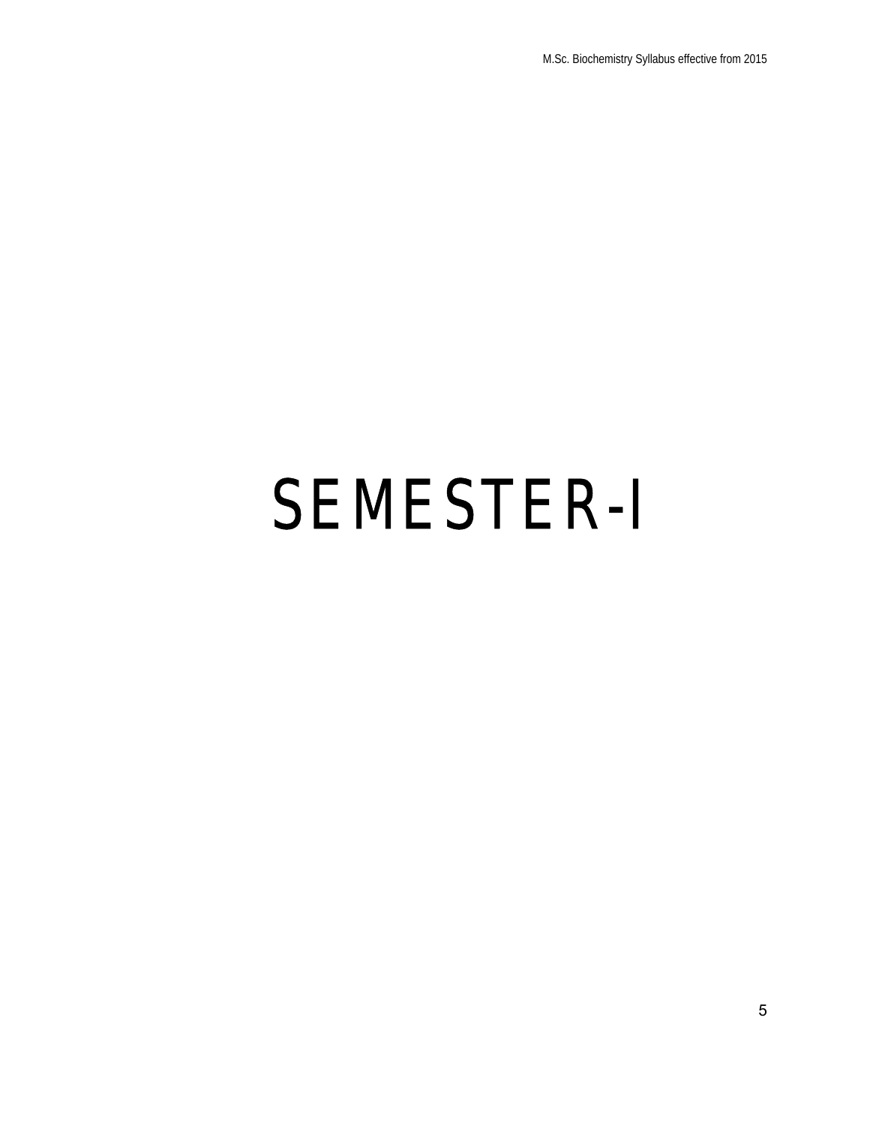# SEMESTER-I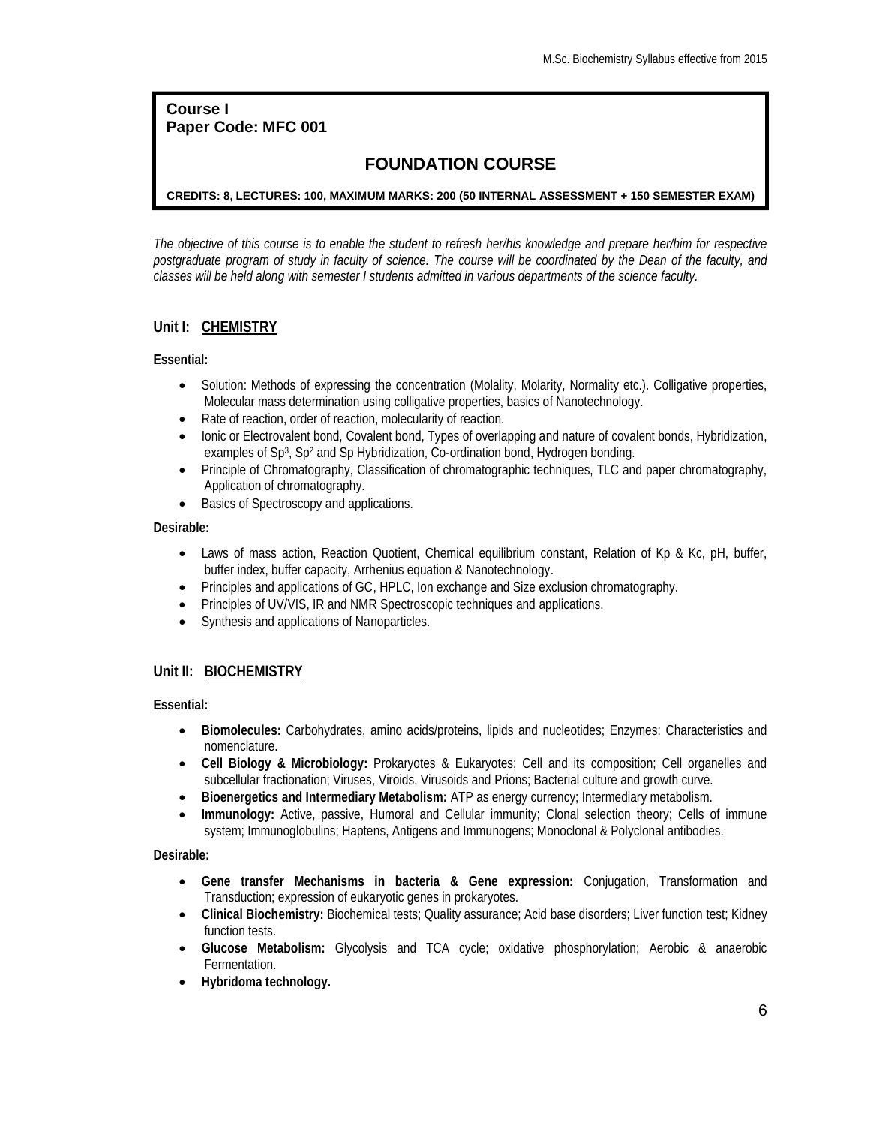## **Course I Paper Code: MFC 001**

# **FOUNDATION COURSE**

## **CREDITS: 8, LECTURES: 100, MAXIMUM MARKS: 200 (50 INTERNAL ASSESSMENT + 150 SEMESTER EXAM)**

*The objective of this course is to enable the student to refresh her/his knowledge and prepare her/him for respective postgraduate program of study in faculty of science. The course will be coordinated by the Dean of the faculty, and classes will be held along with semester I students admitted in various departments of the science faculty.*

## **Unit I: CHEMISTRY**

**Essential:**

- Solution: Methods of expressing the concentration (Molality, Molarity, Normality etc.). Colligative properties, Molecular mass determination using colligative properties, basics of Nanotechnology.
- Rate of reaction, order of reaction, molecularity of reaction.
- Ionic or Electrovalent bond, Covalent bond, Types of overlapping and nature of covalent bonds, Hybridization, examples of Sp<sup>3</sup>, Sp<sup>2</sup> and Sp Hybridization, Co-ordination bond, Hydrogen bonding.
- Principle of Chromatography, Classification of chromatographic techniques, TLC and paper chromatography, Application of chromatography.
- Basics of Spectroscopy and applications.

**Desirable:**

- Laws of mass action, Reaction Quotient, Chemical equilibrium constant, Relation of Kp & Kc, pH, buffer, buffer index, buffer capacity, Arrhenius equation & Nanotechnology.
- Principles and applications of GC, HPLC, Ion exchange and Size exclusion chromatography.
- ∑ Principles of UV/VIS, IR and NMR Spectroscopic techniques and applications.
- ∑ Synthesis and applications of Nanoparticles.

## **Unit II: BIOCHEMISTRY**

**Essential:**

- ∑ **Biomolecules:** Carbohydrates, amino acids/proteins, lipids and nucleotides; Enzymes: Characteristics and nomenclature.
- ∑ **Cell Biology & Microbiology:** Prokaryotes & Eukaryotes; Cell and its composition; Cell organelles and subcellular fractionation; Viruses, Viroids, Virusoids and Prions; Bacterial culture and growth curve.
- ∑ **Bioenergetics and Intermediary Metabolism:** ATP as energy currency; Intermediary metabolism.
- Immunology: Active, passive, Humoral and Cellular immunity; Clonal selection theory; Cells of immune system; Immunoglobulins; Haptens, Antigens and Immunogens; Monoclonal & Polyclonal antibodies.

**Desirable:**

- ∑ **Gene transfer Mechanisms in bacteria & Gene expression:** Conjugation, Transformation and Transduction; expression of eukaryotic genes in prokaryotes.
- ∑ **Clinical Biochemistry:** Biochemical tests; Quality assurance; Acid base disorders; Liver function test; Kidney function tests.
- ∑ **Glucose Metabolism:** Glycolysis and TCA cycle; oxidative phosphorylation; Aerobic & anaerobic Fermentation.
- ∑ **Hybridoma technology.**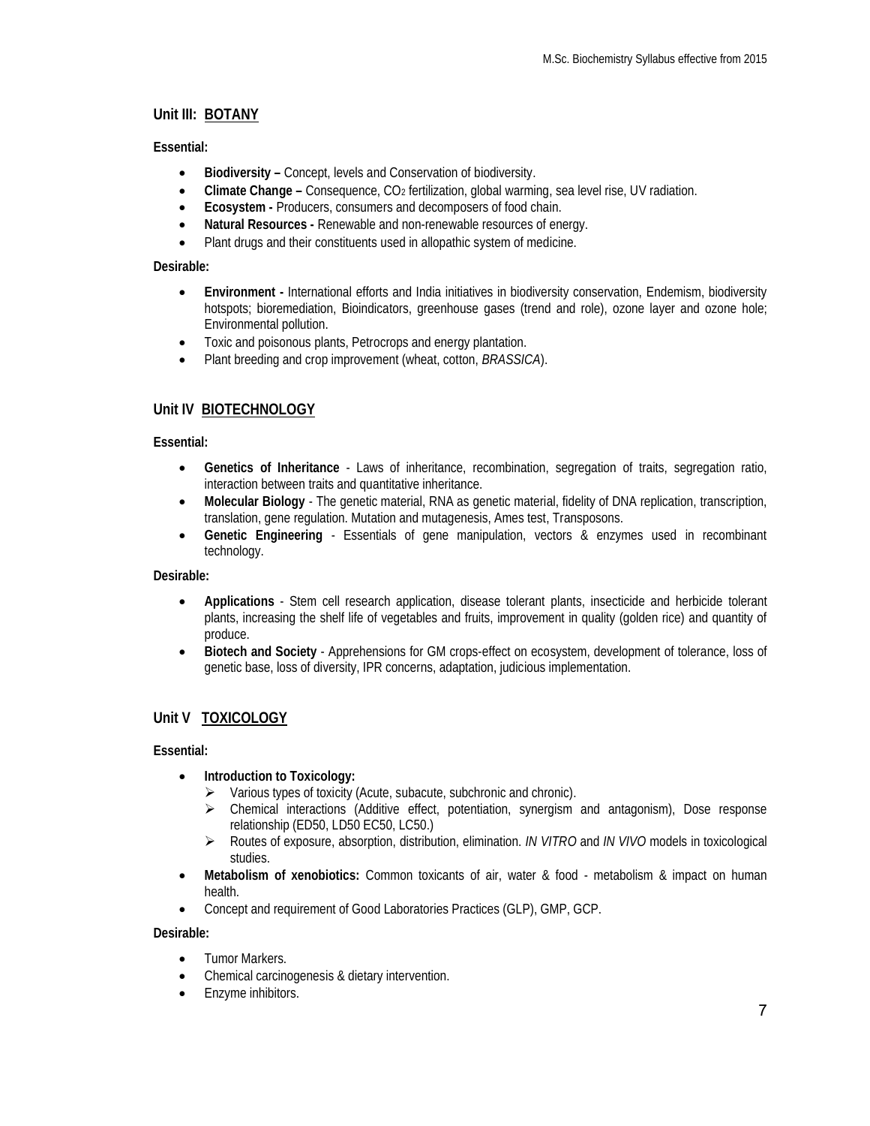## **Unit III: BOTANY**

## **Essential:**

- ∑ **Biodiversity –** Concept, levels and Conservation of biodiversity.
- ∑ **Climate Change –** Consequence, CO2 fertilization, global warming, sea level rise, UV radiation.
- ∑ **Ecosystem -** Producers, consumers and decomposers of food chain.
- ∑ **Natural Resources -** Renewable and non-renewable resources of energy.
- Plant drugs and their constituents used in allopathic system of medicine.

## **Desirable:**

- ∑ **Environment -** International efforts and India initiatives in biodiversity conservation, Endemism, biodiversity hotspots; bioremediation, Bioindicators, greenhouse gases (trend and role), ozone layer and ozone hole; Environmental pollution.
- ∑ Toxic and poisonous plants, Petrocrops and energy plantation.
- ∑ Plant breeding and crop improvement (wheat, cotton, *BRASSICA*).

## **Unit IV BIOTECHNOLOGY**

## **Essential:**

- ∑ **Genetics of Inheritance**  Laws of inheritance, recombination, segregation of traits, segregation ratio, interaction between traits and quantitative inheritance.
- ∑ **Molecular Biology**  The genetic material, RNA as genetic material, fidelity of DNA replication, transcription, translation, gene regulation. Mutation and mutagenesis, Ames test, Transposons.
- ∑ **Genetic Engineering**  Essentials of gene manipulation, vectors & enzymes used in recombinant technology.

**Desirable:**

- ∑ **Applications**  Stem cell research application, disease tolerant plants, insecticide and herbicide tolerant plants, increasing the shelf life of vegetables and fruits, improvement in quality (golden rice) and quantity of produce.
- ∑ **Biotech and Society**  Apprehensions for GM crops-effect on ecosystem, development of tolerance, loss of genetic base, loss of diversity, IPR concerns, adaptation, judicious implementation.

## **Unit V TOXICOLOGY**

**Essential:**

- ∑ **Introduction to Toxicology:** 
	- $\triangleright$  Various types of toxicity (Acute, subacute, subchronic and chronic).
	- $\triangleright$  Chemical interactions (Additive effect, potentiation, synergism and antagonism), Dose response relationship (ED50, LD50 EC50, LC50.)
	- ÿ Routes of exposure, absorption, distribution, elimination. *IN VITRO* and *IN VIVO* models in toxicological studies.
- ∑ **Metabolism of xenobiotics:** Common toxicants of air, water & food metabolism & impact on human health.
- Concept and requirement of Good Laboratories Practices (GLP), GMP, GCP.

**Desirable:**

- Tumor Markers.
- ∑ Chemical carcinogenesis & dietary intervention.
- Enzyme inhibitors.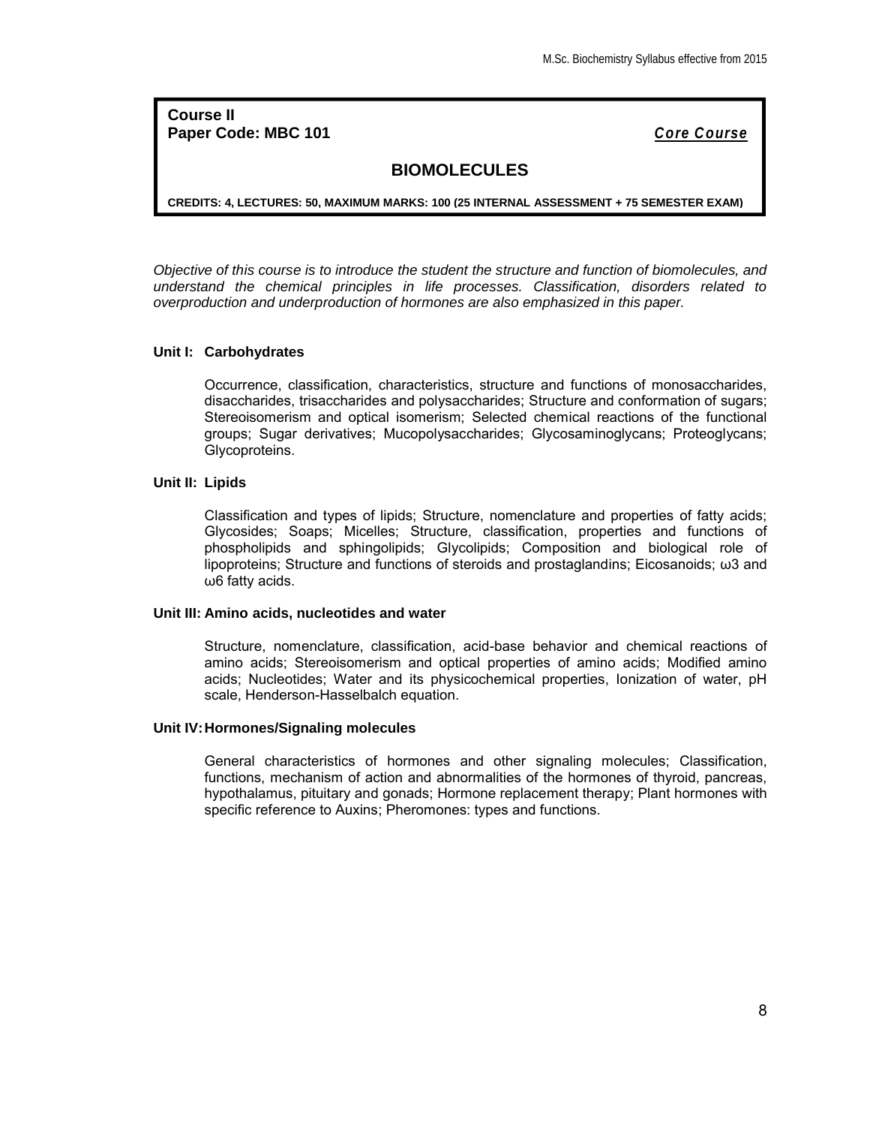**Course II Paper Code: MBC 101** *Core Course*

## **BIOMOLECULES**

**CREDITS: 4, LECTURES: 50, MAXIMUM MARKS: 100 (25 INTERNAL ASSESSMENT + 75 SEMESTER EXAM)**

*Objective of this course is to introduce the student the structure and function of biomolecules, and understand the chemical principles in life processes. Classification, disorders related to overproduction and underproduction of hormones are also emphasized in this paper.*

## **Unit I: Carbohydrates**

Occurrence, classification, characteristics, structure and functions of monosaccharides, disaccharides, trisaccharides and polysaccharides; Structure and conformation of sugars; Stereoisomerism and optical isomerism; Selected chemical reactions of the functional groups; Sugar derivatives; Mucopolysaccharides; Glycosaminoglycans; Proteoglycans; Glycoproteins.

## **Unit II: Lipids**

Classification and types of lipids; Structure, nomenclature and properties of fatty acids; Glycosides; Soaps; Micelles; Structure, classification, properties and functions of phospholipids and sphingolipids; Glycolipids; Composition and biological role of lipoproteins; Structure and functions of steroids and prostaglandins; Eicosanoids; ω3 and ω6 fatty acids.

#### **Unit III: Amino acids, nucleotides and water**

Structure, nomenclature, classification, acid-base behavior and chemical reactions of amino acids; Stereoisomerism and optical properties of amino acids; Modified amino acids; Nucleotides; Water and its physicochemical properties, Ionization of water, pH scale, Henderson-Hasselbalch equation.

## **Unit IV:Hormones/Signaling molecules**

General characteristics of hormones and other signaling molecules; Classification, functions, mechanism of action and abnormalities of the hormones of thyroid, pancreas, hypothalamus, pituitary and gonads; Hormone replacement therapy; Plant hormones with specific reference to Auxins; Pheromones: types and functions.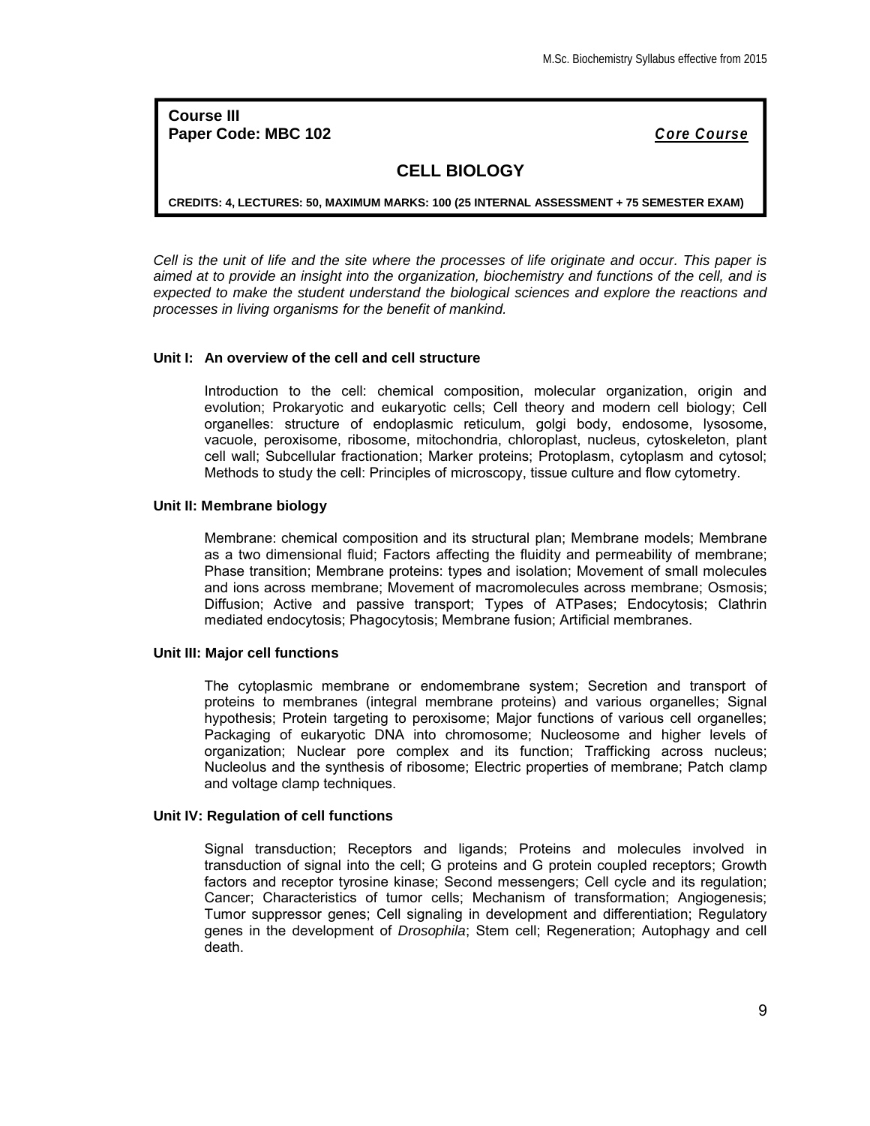**Course III** Paper Code: MBC 102 **Cone Course** *Core Course Core Course* 

## **CELL BIOLOGY**

**CREDITS: 4, LECTURES: 50, MAXIMUM MARKS: 100 (25 INTERNAL ASSESSMENT + 75 SEMESTER EXAM)**

*Cell is the unit of life and the site where the processes of life originate and occur. This paper is aimed at to provide an insight into the organization, biochemistry and functions of the cell, and is expected to make the student understand the biological sciences and explore the reactions and processes in living organisms for the benefit of mankind.*

#### **Unit I: An overview of the cell and cell structure**

Introduction to the cell: chemical composition, molecular organization, origin and evolution; Prokaryotic and eukaryotic cells; Cell theory and modern cell biology; Cell organelles: structure of endoplasmic reticulum, golgi body, endosome, lysosome, vacuole, peroxisome, ribosome, mitochondria, chloroplast, nucleus, cytoskeleton, plant cell wall; Subcellular fractionation; Marker proteins; Protoplasm, cytoplasm and cytosol; Methods to study the cell: Principles of microscopy, tissue culture and flow cytometry.

#### **Unit II: Membrane biology**

Membrane: chemical composition and its structural plan; Membrane models; Membrane as a two dimensional fluid; Factors affecting the fluidity and permeability of membrane; Phase transition; Membrane proteins: types and isolation; Movement of small molecules and ions across membrane; Movement of macromolecules across membrane; Osmosis; Diffusion; Active and passive transport; Types of ATPases; Endocytosis; Clathrin mediated endocytosis; Phagocytosis; Membrane fusion; Artificial membranes.

#### **Unit III: Major cell functions**

The cytoplasmic membrane or endomembrane system; Secretion and transport of proteins to membranes (integral membrane proteins) and various organelles; Signal hypothesis; Protein targeting to peroxisome; Major functions of various cell organelles; Packaging of eukaryotic DNA into chromosome; Nucleosome and higher levels of organization; Nuclear pore complex and its function; Trafficking across nucleus; Nucleolus and the synthesis of ribosome; Electric properties of membrane; Patch clamp and voltage clamp techniques.

#### **Unit IV: Regulation of cell functions**

Signal transduction; Receptors and ligands; Proteins and molecules involved in transduction of signal into the cell; G proteins and G protein coupled receptors; Growth factors and receptor tyrosine kinase; Second messengers; Cell cycle and its regulation; Cancer; Characteristics of tumor cells; Mechanism of transformation; Angiogenesis; Tumor suppressor genes; Cell signaling in development and differentiation; Regulatory genes in the development of *Drosophila*; Stem cell; Regeneration; Autophagy and cell death.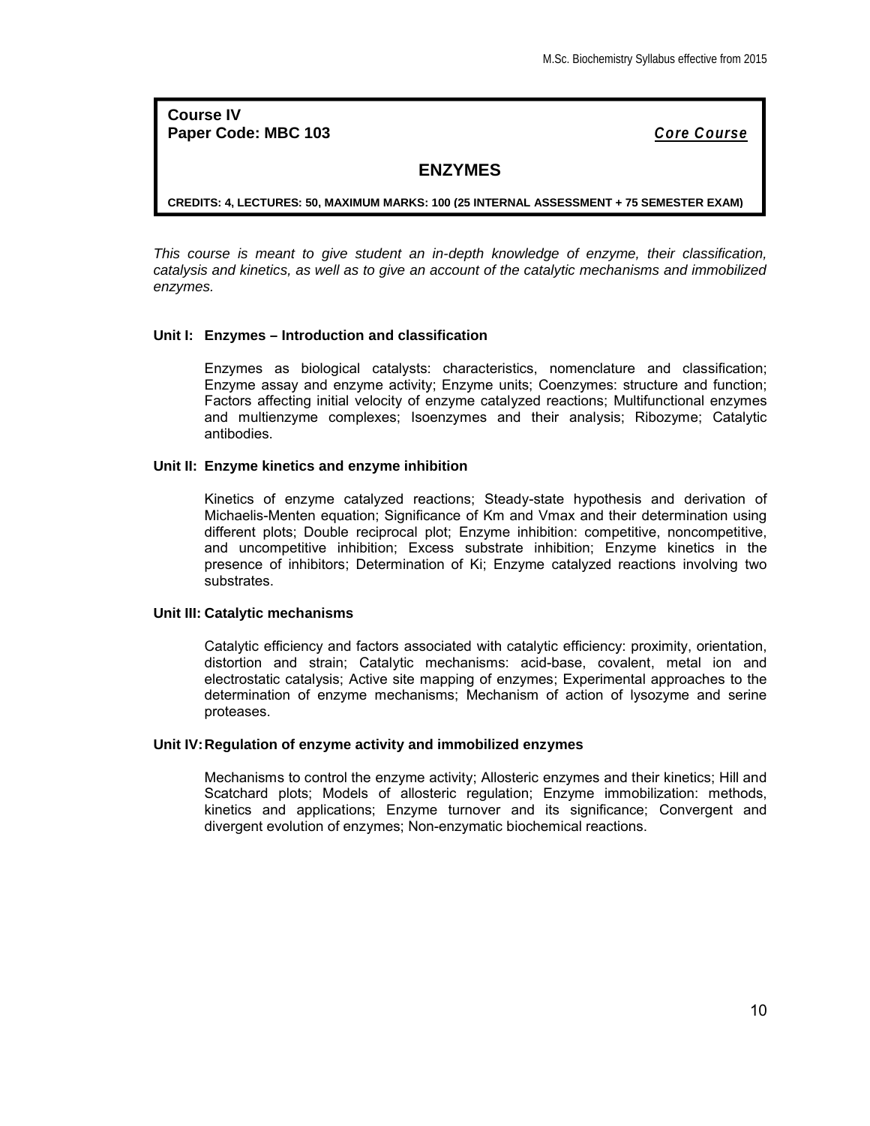**Course IV Paper Code: MBC 103** *Core Course*

## **ENZYMES**

**CREDITS: 4, LECTURES: 50, MAXIMUM MARKS: 100 (25 INTERNAL ASSESSMENT + 75 SEMESTER EXAM)**

*This course is meant to give student an in-depth knowledge of enzyme, their classification, catalysis and kinetics, as well as to give an account of the catalytic mechanisms and immobilized enzymes.*

## **Unit I: Enzymes – Introduction and classification**

Enzymes as biological catalysts: characteristics, nomenclature and classification; Enzyme assay and enzyme activity; Enzyme units; Coenzymes: structure and function; Factors affecting initial velocity of enzyme catalyzed reactions; Multifunctional enzymes and multienzyme complexes; Isoenzymes and their analysis; Ribozyme; Catalytic antibodies.

#### **Unit II: Enzyme kinetics and enzyme inhibition**

Kinetics of enzyme catalyzed reactions; Steady-state hypothesis and derivation of Michaelis-Menten equation; Significance of Km and Vmax and their determination using different plots; Double reciprocal plot; Enzyme inhibition: competitive, noncompetitive, and uncompetitive inhibition; Excess substrate inhibition; Enzyme kinetics in the presence of inhibitors; Determination of Ki; Enzyme catalyzed reactions involving two substrates.

#### **Unit III: Catalytic mechanisms**

Catalytic efficiency and factors associated with catalytic efficiency: proximity, orientation, distortion and strain; Catalytic mechanisms: acid-base, covalent, metal ion and electrostatic catalysis; Active site mapping of enzymes; Experimental approaches to the determination of enzyme mechanisms; Mechanism of action of lysozyme and serine proteases.

#### **Unit IV:Regulation of enzyme activity and immobilized enzymes**

Mechanisms to control the enzyme activity; Allosteric enzymes and their kinetics; Hill and Scatchard plots; Models of allosteric regulation; Enzyme immobilization: methods, kinetics and applications; Enzyme turnover and its significance; Convergent and divergent evolution of enzymes; Non-enzymatic biochemical reactions.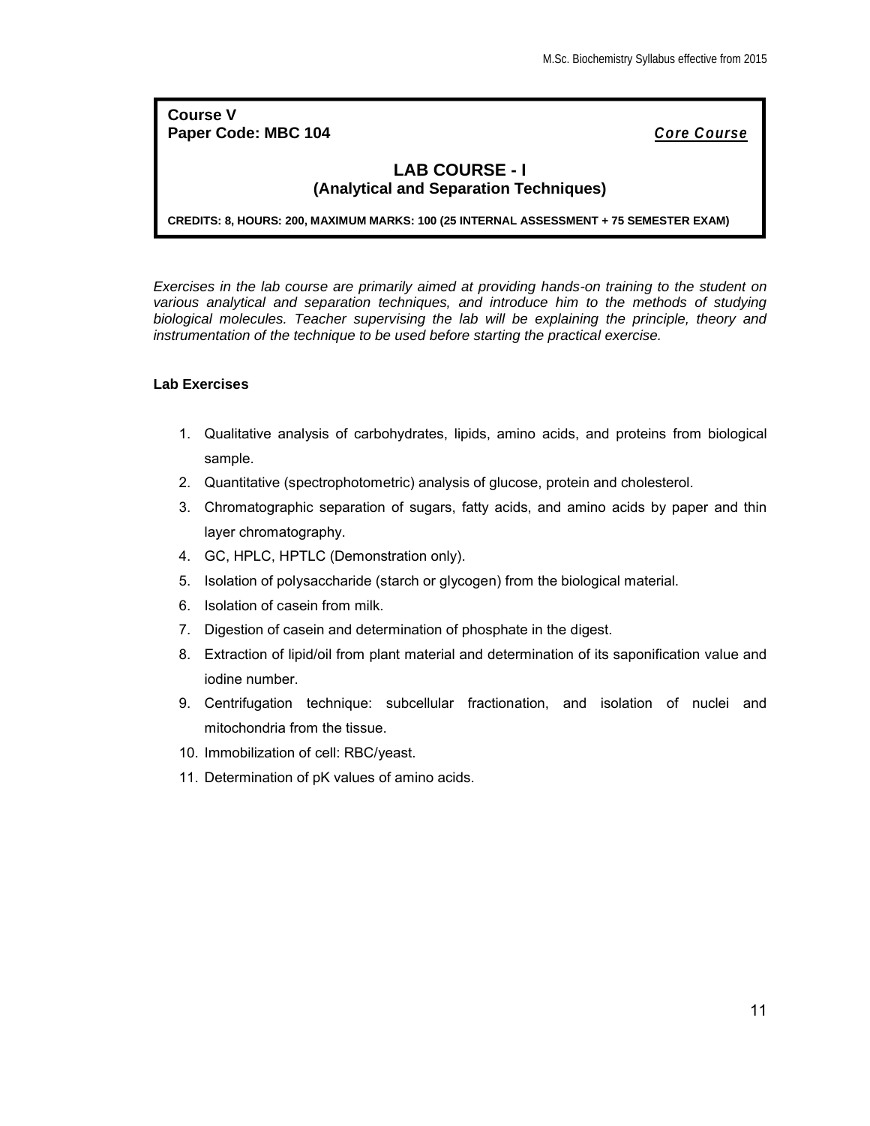## **Course V Paper Code: MBC 104** *Core Course*

## **LAB COURSE - I (Analytical and Separation Techniques)**

**CREDITS: 8, HOURS: 200, MAXIMUM MARKS: 100 (25 INTERNAL ASSESSMENT + 75 SEMESTER EXAM)**

*Exercises in the lab course are primarily aimed at providing hands-on training to the student on various analytical and separation techniques, and introduce him to the methods of studying biological molecules. Teacher supervising the lab will be explaining the principle, theory and instrumentation of the technique to be used before starting the practical exercise.*

## **Lab Exercises**

- 1. Qualitative analysis of carbohydrates, lipids, amino acids, and proteins from biological sample.
- 2. Quantitative (spectrophotometric) analysis of glucose, protein and cholesterol.
- 3. Chromatographic separation of sugars, fatty acids, and amino acids by paper and thin layer chromatography.
- 4. GC, HPLC, HPTLC (Demonstration only).
- 5. Isolation of polysaccharide (starch or glycogen) from the biological material.
- 6. Isolation of casein from milk.
- 7. Digestion of casein and determination of phosphate in the digest.
- 8. Extraction of lipid/oil from plant material and determination of its saponification value and iodine number.
- 9. Centrifugation technique: subcellular fractionation, and isolation of nuclei and mitochondria from the tissue.
- 10. Immobilization of cell: RBC/yeast.
- 11. Determination of pK values of amino acids.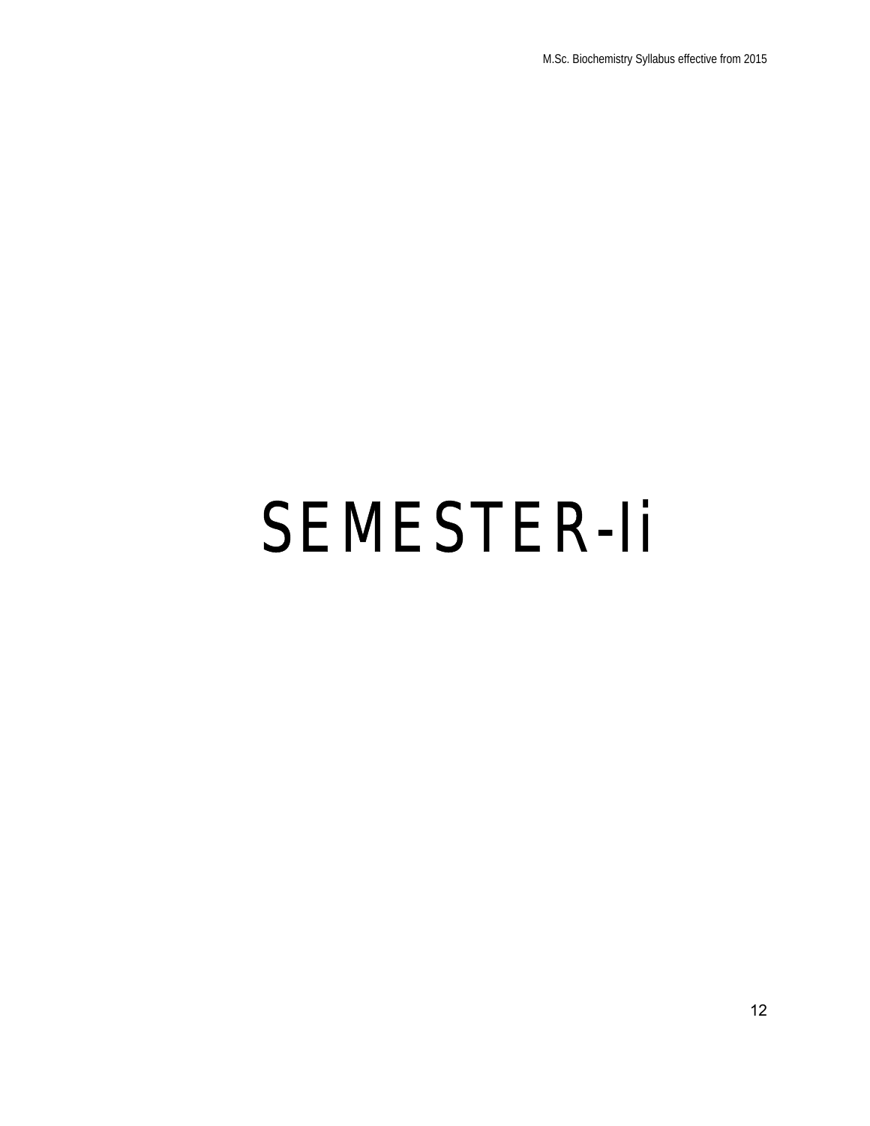# SEMESTER-Ii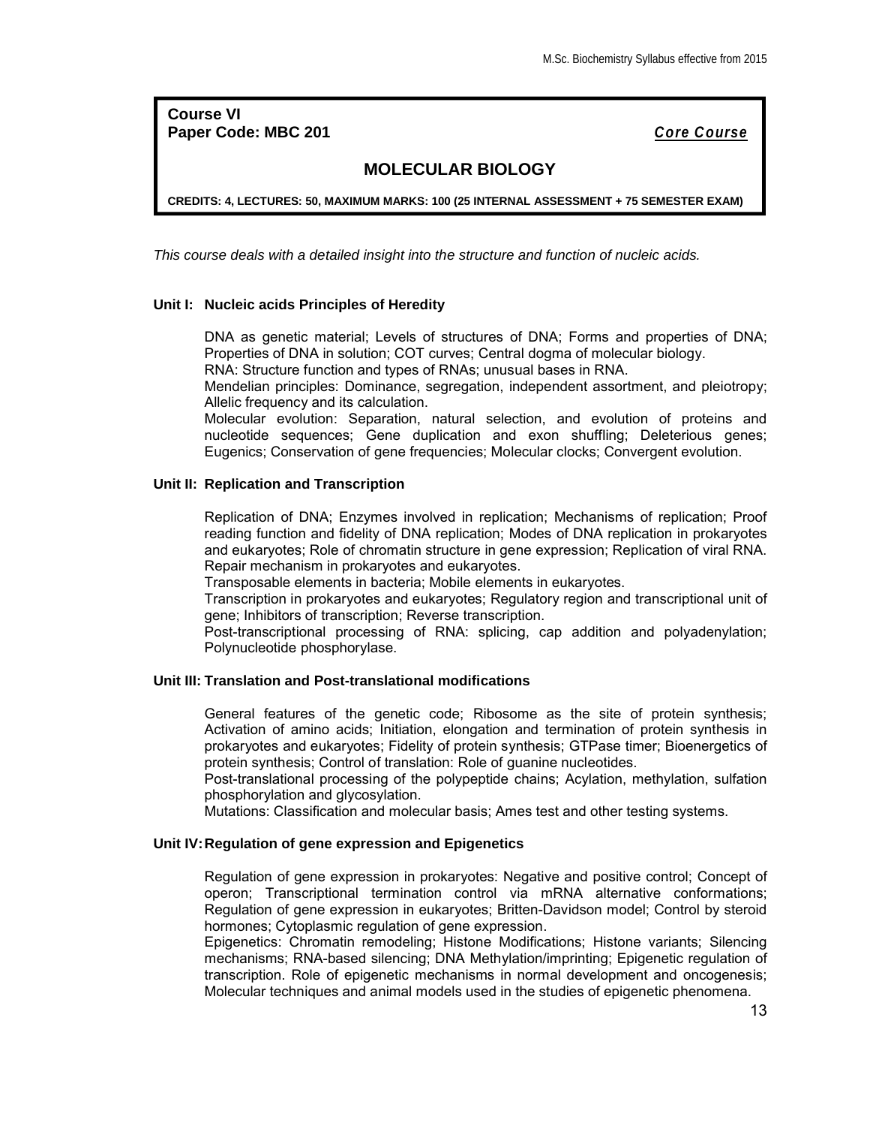**Course VI Paper Code: MBC 201** *Core Course*

## **MOLECULAR BIOLOGY**

**CREDITS: 4, LECTURES: 50, MAXIMUM MARKS: 100 (25 INTERNAL ASSESSMENT + 75 SEMESTER EXAM)**

*This course deals with a detailed insight into the structure and function of nucleic acids.*

## **Unit I: Nucleic acids Principles of Heredity**

DNA as genetic material; Levels of structures of DNA; Forms and properties of DNA; Properties of DNA in solution; COT curves; Central dogma of molecular biology.

RNA: Structure function and types of RNAs; unusual bases in RNA.

Mendelian principles: Dominance, segregation, independent assortment, and pleiotropy; Allelic frequency and its calculation.

Molecular evolution: Separation, natural selection, and evolution of proteins and nucleotide sequences; Gene duplication and exon shuffling; Deleterious genes; Eugenics; Conservation of gene frequencies; Molecular clocks; Convergent evolution.

## **Unit II: Replication and Transcription**

Replication of DNA; Enzymes involved in replication; Mechanisms of replication; Proof reading function and fidelity of DNA replication; Modes of DNA replication in prokaryotes and eukaryotes; Role of chromatin structure in gene expression; Replication of viral RNA. Repair mechanism in prokaryotes and eukaryotes.

Transposable elements in bacteria; Mobile elements in eukaryotes.

Transcription in prokaryotes and eukaryotes; Regulatory region and transcriptional unit of gene; Inhibitors of transcription; Reverse transcription.

Post-transcriptional processing of RNA: splicing, cap addition and polyadenylation; Polynucleotide phosphorylase.

## **Unit III: Translation and Post-translational modifications**

General features of the genetic code; Ribosome as the site of protein synthesis; Activation of amino acids; Initiation, elongation and termination of protein synthesis in prokaryotes and eukaryotes; Fidelity of protein synthesis; GTPase timer; Bioenergetics of protein synthesis; Control of translation: Role of guanine nucleotides.

Post-translational processing of the polypeptide chains; Acylation, methylation, sulfation phosphorylation and glycosylation.

Mutations: Classification and molecular basis; Ames test and other testing systems.

#### **Unit IV:Regulation of gene expression and Epigenetics**

Regulation of gene expression in prokaryotes: Negative and positive control; Concept of operon; Transcriptional termination control via mRNA alternative conformations; Regulation of gene expression in eukaryotes; Britten-Davidson model; Control by steroid hormones; Cytoplasmic regulation of gene expression.

Epigenetics: Chromatin remodeling; Histone Modifications; Histone variants; Silencing mechanisms; RNA-based silencing; DNA Methylation/imprinting; Epigenetic regulation of transcription. Role of epigenetic mechanisms in normal development and oncogenesis; Molecular techniques and animal models used in the studies of epigenetic phenomena.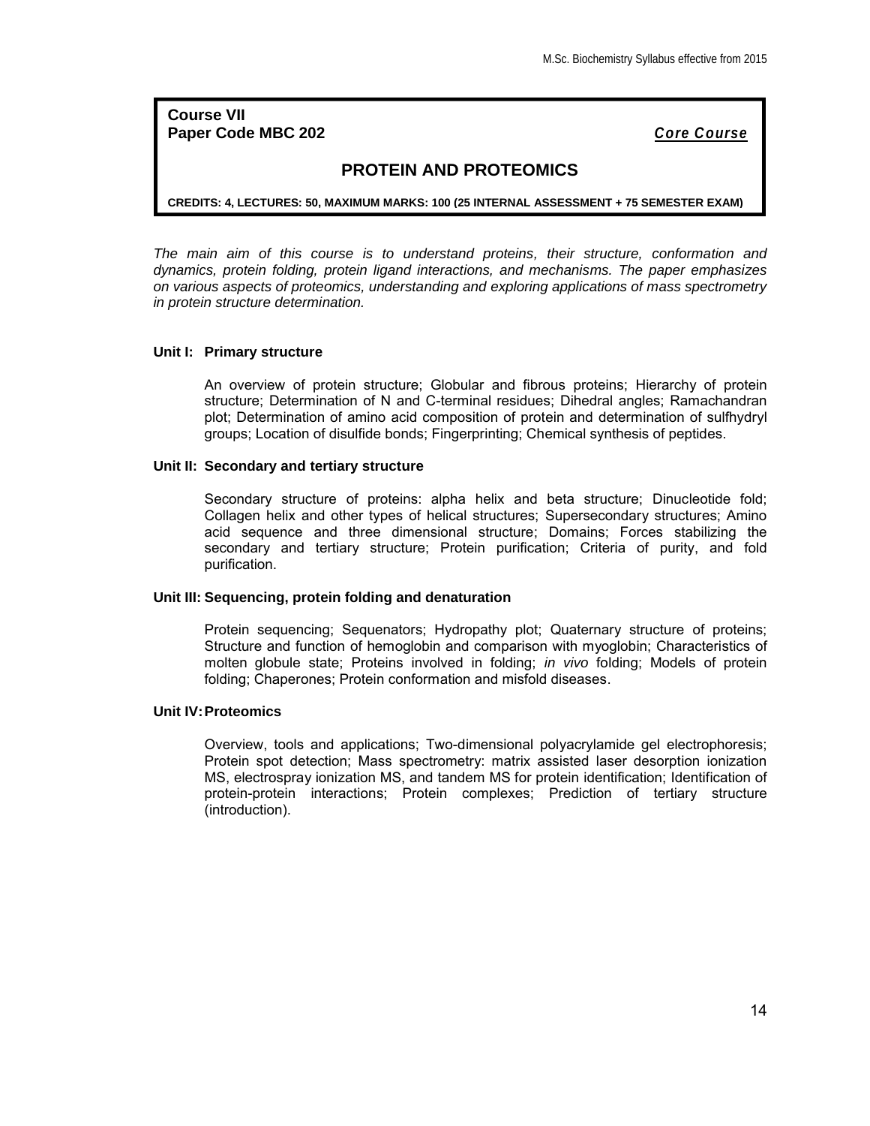**Course VII Paper Code MBC 202** *Core Course*

## **PROTEIN AND PROTEOMICS**

**CREDITS: 4, LECTURES: 50, MAXIMUM MARKS: 100 (25 INTERNAL ASSESSMENT + 75 SEMESTER EXAM)**

*The main aim of this course is to understand proteins, their structure, conformation and dynamics, protein folding, protein ligand interactions, and mechanisms. The paper emphasizes on various aspects of proteomics, understanding and exploring applications of mass spectrometry in protein structure determination.*

#### **Unit I: Primary structure**

An overview of protein structure; Globular and fibrous proteins; Hierarchy of protein structure; Determination of N and C-terminal residues; Dihedral angles; Ramachandran plot; Determination of amino acid composition of protein and determination of sulfhydryl groups; Location of disulfide bonds; Fingerprinting; Chemical synthesis of peptides.

#### **Unit II: Secondary and tertiary structure**

Secondary structure of proteins: alpha helix and beta structure; Dinucleotide fold; Collagen helix and other types of helical structures; Supersecondary structures; Amino acid sequence and three dimensional structure; Domains; Forces stabilizing the secondary and tertiary structure; Protein purification; Criteria of purity, and fold purification.

#### **Unit III: Sequencing, protein folding and denaturation**

Protein sequencing; Sequenators; Hydropathy plot; Quaternary structure of proteins; Structure and function of hemoglobin and comparison with myoglobin; Characteristics of molten globule state; Proteins involved in folding; *in vivo* folding; Models of protein folding; Chaperones; Protein conformation and misfold diseases.

## **Unit IV:Proteomics**

Overview, tools and applications; Two-dimensional polyacrylamide gel electrophoresis; Protein spot detection; Mass spectrometry: matrix assisted laser desorption ionization MS, electrospray ionization MS, and tandem MS for protein identification; Identification of protein-protein interactions; Protein complexes; Prediction of tertiary structure (introduction).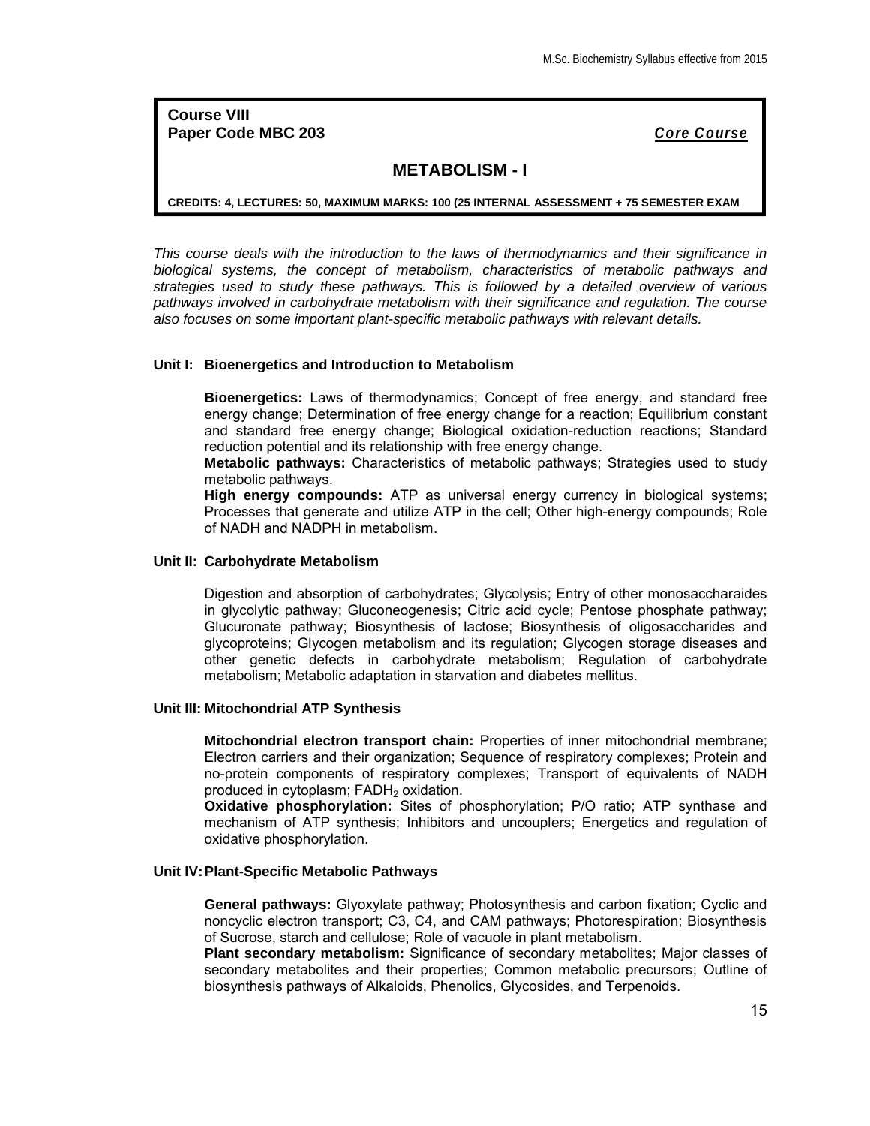**Course VIII Paper Code MBC 203** *Core Course*

## **METABOLISM - I**

**CREDITS: 4, LECTURES: 50, MAXIMUM MARKS: 100 (25 INTERNAL ASSESSMENT + 75 SEMESTER EXAM**

*This course deals with the introduction to the laws of thermodynamics and their significance in biological systems, the concept of metabolism, characteristics of metabolic pathways and strategies used to study these pathways. This is followed by a detailed overview of various pathways involved in carbohydrate metabolism with their significance and regulation. The course also focuses on some important plant-specific metabolic pathways with relevant details.*

#### **Unit I: Bioenergetics and Introduction to Metabolism**

**Bioenergetics:** Laws of thermodynamics; Concept of free energy, and standard free energy change; Determination of free energy change for a reaction; Equilibrium constant and standard free energy change; Biological oxidation-reduction reactions; Standard reduction potential and its relationship with free energy change.

**Metabolic pathways:** Characteristics of metabolic pathways; Strategies used to study metabolic pathways.

**High energy compounds:** ATP as universal energy currency in biological systems; Processes that generate and utilize ATP in the cell; Other high-energy compounds; Role of NADH and NADPH in metabolism.

#### **Unit II: Carbohydrate Metabolism**

Digestion and absorption of carbohydrates; Glycolysis; Entry of other monosaccharaides in glycolytic pathway; Gluconeogenesis; Citric acid cycle; Pentose phosphate pathway; Glucuronate pathway; Biosynthesis of lactose; Biosynthesis of oligosaccharides and glycoproteins; Glycogen metabolism and its regulation; Glycogen storage diseases and other genetic defects in carbohydrate metabolism; Regulation of carbohydrate metabolism; Metabolic adaptation in starvation and diabetes mellitus.

#### **Unit III: Mitochondrial ATP Synthesis**

**Mitochondrial electron transport chain:** Properties of inner mitochondrial membrane; Electron carriers and their organization; Sequence of respiratory complexes; Protein and no-protein components of respiratory complexes; Transport of equivalents of NADH produced in cytoplasm; FADH<sub>2</sub> oxidation.

**Oxidative phosphorylation:** Sites of phosphorylation; P/O ratio; ATP synthase and mechanism of ATP synthesis; Inhibitors and uncouplers; Energetics and regulation of oxidative phosphorylation.

## **Unit IV:Plant-Specific Metabolic Pathways**

**General pathways:** Glyoxylate pathway; Photosynthesis and carbon fixation; Cyclic and noncyclic electron transport; C3, C4, and CAM pathways; Photorespiration; Biosynthesis of Sucrose, starch and cellulose; Role of vacuole in plant metabolism.

**Plant secondary metabolism:** Significance of secondary metabolites; Major classes of secondary metabolites and their properties; Common metabolic precursors; Outline of biosynthesis pathways of Alkaloids, Phenolics, Glycosides, and Terpenoids.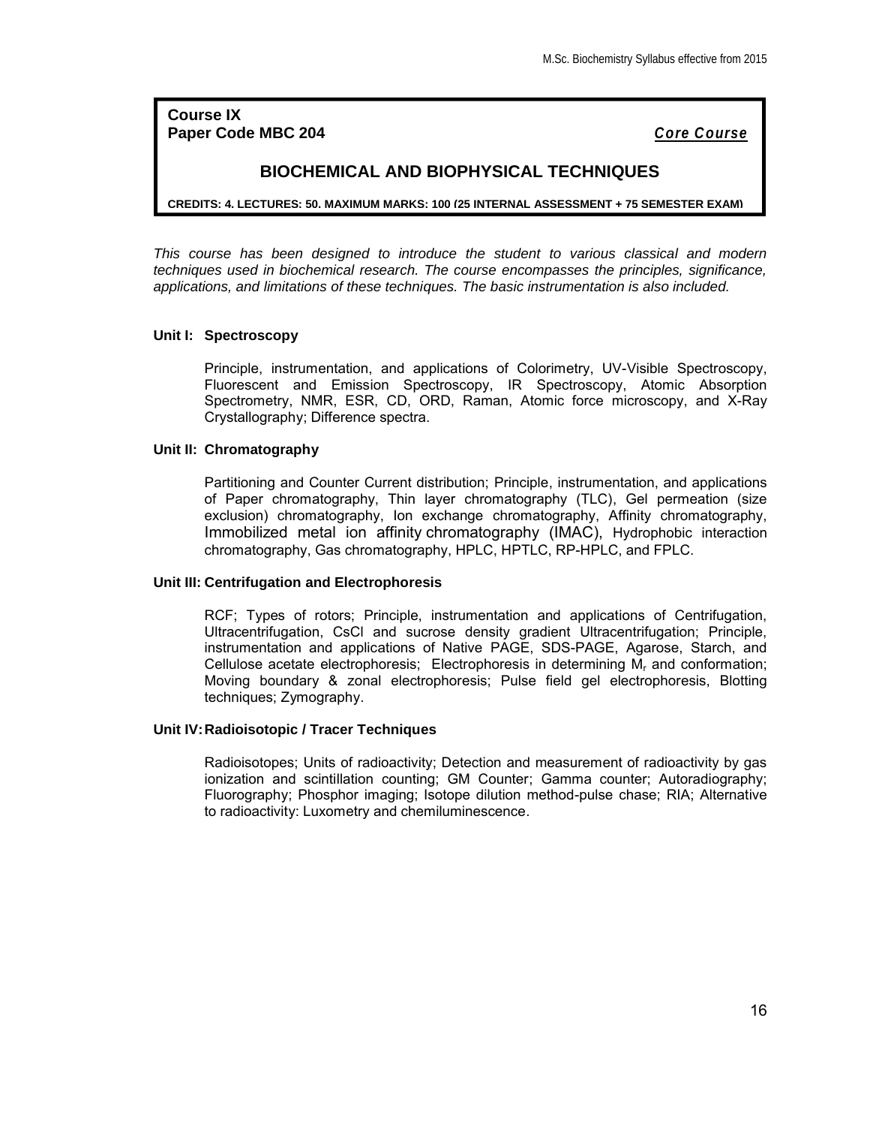**Course IX Paper Code MBC 204** *Core Course*

## **BIOCHEMICAL AND BIOPHYSICAL TECHNIQUES**

**CREDITS: 4, LECTURES: 50, MAXIMUM MARKS: 100 (25 INTERNAL ASSESSMENT + 75 SEMESTER EXAM)**

*This course has been designed to introduce the student to various classical and modern techniques used in biochemical research. The course encompasses the principles, significance, applications, and limitations of these techniques. The basic instrumentation is also included.*

## **Unit I: Spectroscopy**

Principle, instrumentation, and applications of Colorimetry, UV-Visible Spectroscopy, Fluorescent and Emission Spectroscopy, IR Spectroscopy, Atomic Absorption Spectrometry, NMR, ESR, CD, ORD, Raman, Atomic force microscopy, and X-Ray Crystallography; Difference spectra.

#### **Unit II: Chromatography**

Partitioning and Counter Current distribution; Principle, instrumentation, and applications of Paper chromatography, Thin layer chromatography (TLC), Gel permeation (size exclusion) chromatography, Ion exchange chromatography, Affinity chromatography, Immobilized metal ion affinity chromatography (IMAC), Hydrophobic interaction chromatography, Gas chromatography, HPLC, HPTLC, RP-HPLC, and FPLC.

### **Unit III: Centrifugation and Electrophoresis**

RCF; Types of rotors; Principle, instrumentation and applications of Centrifugation, Ultracentrifugation, CsCl and sucrose density gradient Ultracentrifugation; Principle, instrumentation and applications of Native PAGE, SDS-PAGE, Agarose, Starch, and Cellulose acetate electrophoresis; Electrophoresis in determining  $M<sub>r</sub>$  and conformation; Moving boundary & zonal electrophoresis; Pulse field gel electrophoresis, Blotting techniques; Zymography.

## **Unit IV:Radioisotopic / Tracer Techniques**

Radioisotopes; Units of radioactivity; Detection and measurement of radioactivity by gas ionization and scintillation counting; GM Counter; Gamma counter; Autoradiography; Fluorography; Phosphor imaging; Isotope dilution method-pulse chase; RIA; Alternative to radioactivity: Luxometry and chemiluminescence.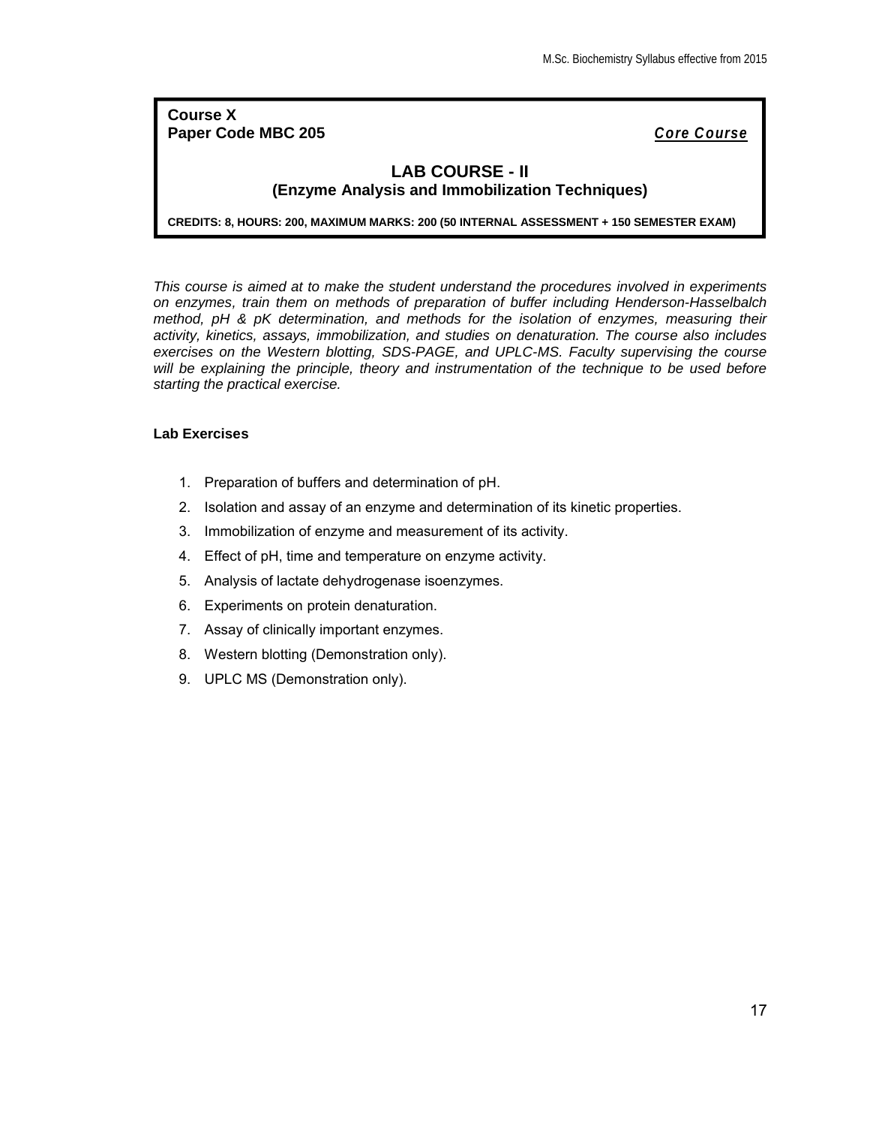## **Course X Paper Code MBC 205** *Core Course*

## **LAB COURSE - II (Enzyme Analysis and Immobilization Techniques)**

**CREDITS: 8, HOURS: 200, MAXIMUM MARKS: 200 (50 INTERNAL ASSESSMENT + 150 SEMESTER EXAM)**

*This course is aimed at to make the student understand the procedures involved in experiments on enzymes, train them on methods of preparation of buffer including Henderson-Hasselbalch method, pH & pK determination, and methods for the isolation of enzymes, measuring their activity, kinetics, assays, immobilization, and studies on denaturation. The course also includes exercises on the Western blotting, SDS-PAGE, and UPLC-MS. Faculty supervising the course will be explaining the principle, theory and instrumentation of the technique to be used before starting the practical exercise.*

## **Lab Exercises**

- 1. Preparation of buffers and determination of pH.
- 2. Isolation and assay of an enzyme and determination of its kinetic properties.
- 3. Immobilization of enzyme and measurement of its activity.
- 4. Effect of pH, time and temperature on enzyme activity.
- 5. Analysis of lactate dehydrogenase isoenzymes.
- 6. Experiments on protein denaturation.
- 7. Assay of clinically important enzymes.
- 8. Western blotting (Demonstration only).
- 9. UPLC MS (Demonstration only).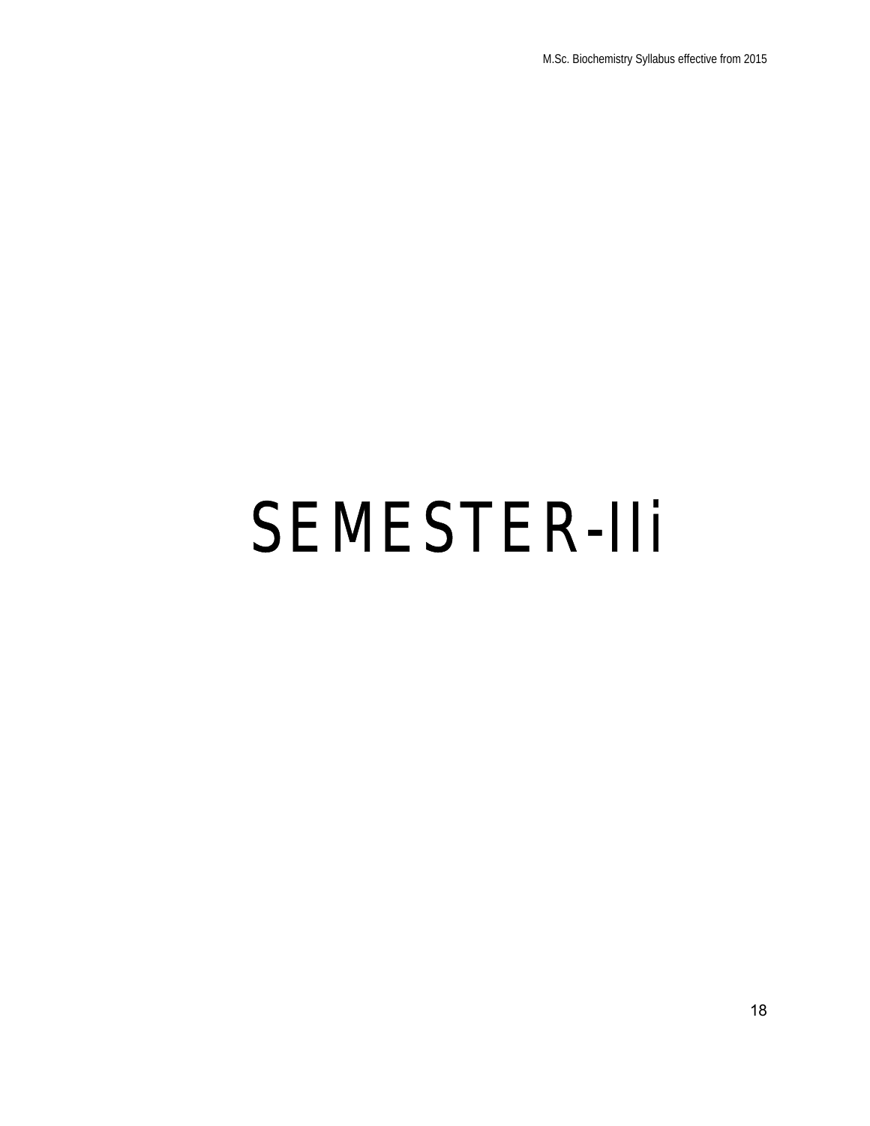# SEMESTER-IIi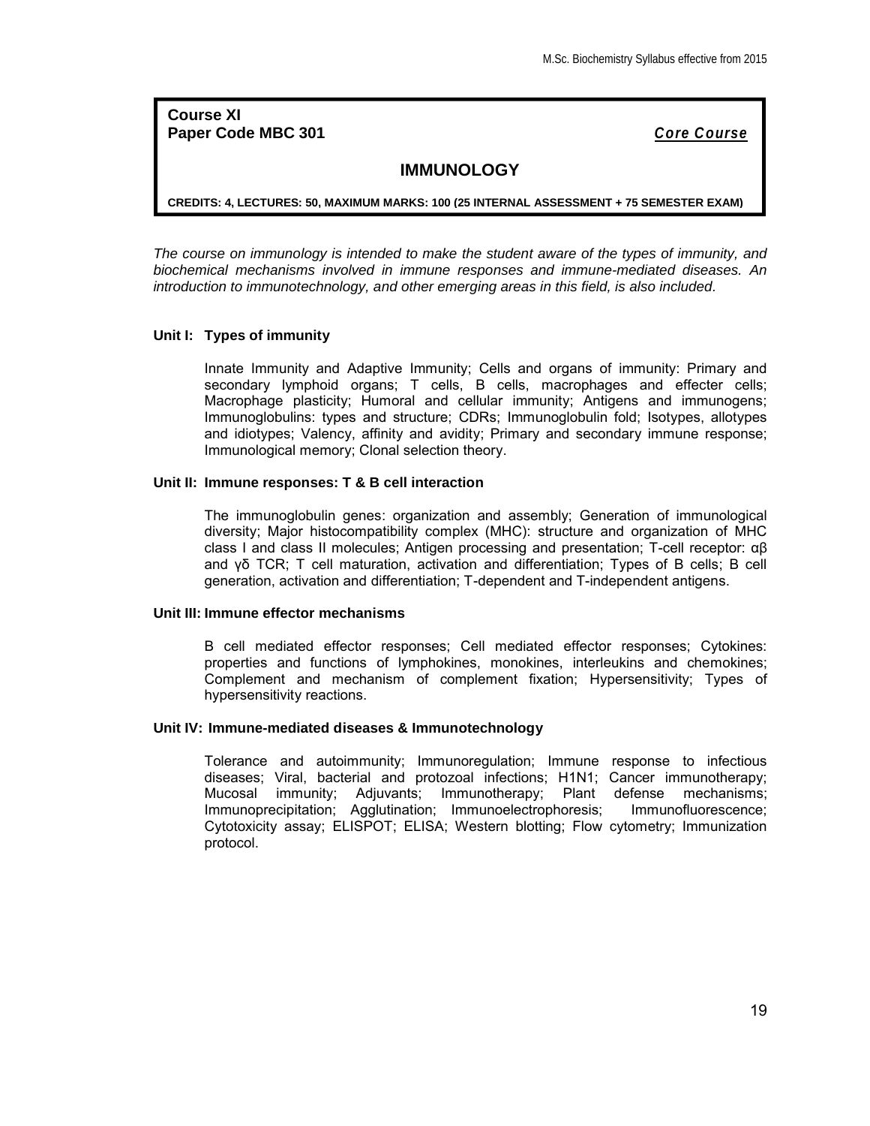**Course XI Paper Code MBC 301** *Core Course*

## **IMMUNOLOGY**

**CREDITS: 4, LECTURES: 50, MAXIMUM MARKS: 100 (25 INTERNAL ASSESSMENT + 75 SEMESTER EXAM)**

*The course on immunology is intended to make the student aware of the types of immunity, and biochemical mechanisms involved in immune responses and immune-mediated diseases. An introduction to immunotechnology, and other emerging areas in this field, is also included.*

#### **Unit I: Types of immunity**

Innate Immunity and Adaptive Immunity; Cells and organs of immunity: Primary and secondary lymphoid organs; T cells, B cells, macrophages and effecter cells; Macrophage plasticity; Humoral and cellular immunity; Antigens and immunogens; Immunoglobulins: types and structure; CDRs; Immunoglobulin fold; Isotypes, allotypes and idiotypes; Valency, affinity and avidity; Primary and secondary immune response; Immunological memory; Clonal selection theory.

#### **Unit II: Immune responses: T & B cell interaction**

The immunoglobulin genes: organization and assembly; Generation of immunological diversity; Major histocompatibility complex (MHC): structure and organization of MHC class I and class II molecules; Antigen processing and presentation; T-cell receptor: αβ and γδ TCR; T cell maturation, activation and differentiation; Types of B cells; B cell generation, activation and differentiation; T-dependent and T-independent antigens.

#### **Unit III: Immune effector mechanisms**

B cell mediated effector responses; Cell mediated effector responses; Cytokines: properties and functions of lymphokines, monokines, interleukins and chemokines; Complement and mechanism of complement fixation; Hypersensitivity; Types of hypersensitivity reactions.

## **Unit IV: Immune-mediated diseases & Immunotechnology**

Tolerance and autoimmunity; Immunoregulation; Immune response to infectious diseases; Viral, bacterial and protozoal infections; H1N1; Cancer immunotherapy; Mucosal immunity; Adjuvants; Immunotherapy; Plant defense mechanisms; Immunoprecipitation; Agglutination; Immunoelectrophoresis; Immunofluorescence; Cytotoxicity assay; ELISPOT; ELISA; Western blotting; Flow cytometry; Immunization protocol.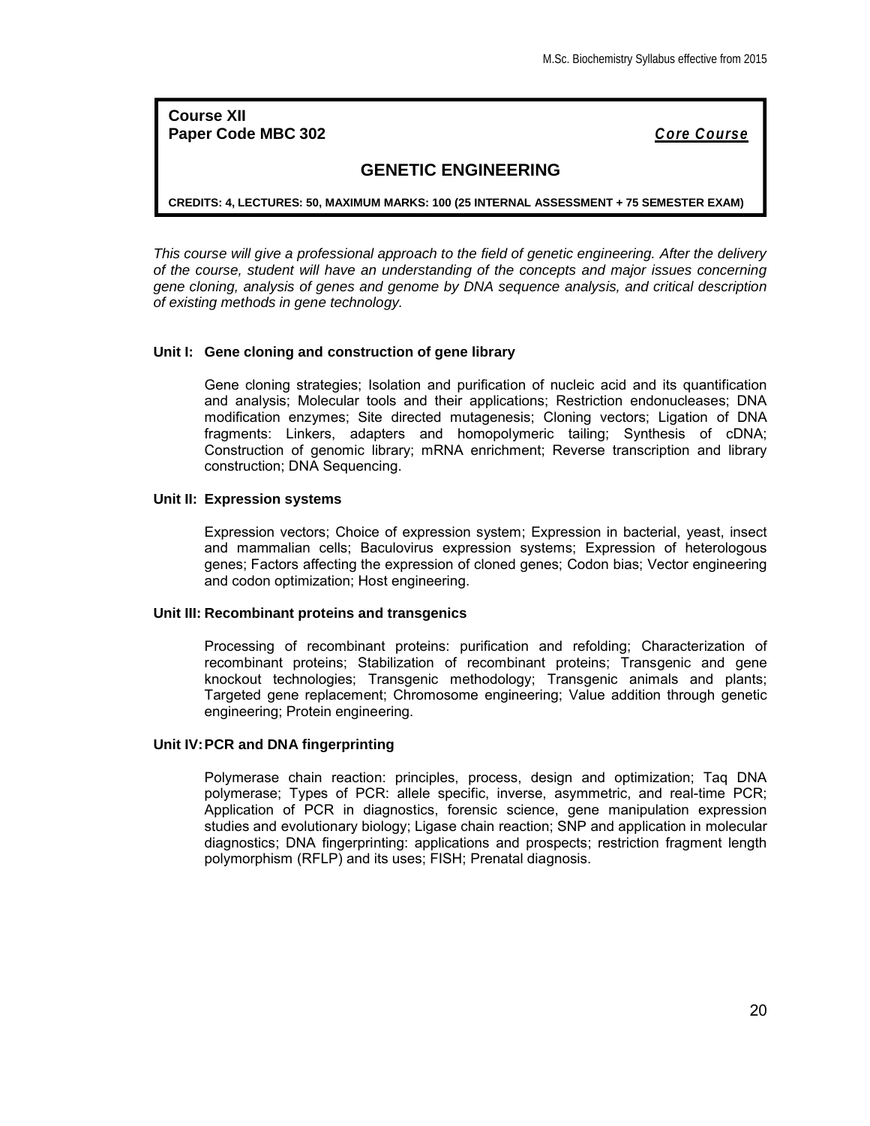**Course XII Paper Code MBC 302** *Core Course*

## **GENETIC ENGINEERING**

**CREDITS: 4, LECTURES: 50, MAXIMUM MARKS: 100 (25 INTERNAL ASSESSMENT + 75 SEMESTER EXAM)**

*This course will give a professional approach to the field of genetic engineering. After the delivery of the course, student will have an understanding of the concepts and major issues concerning gene cloning, analysis of genes and genome by DNA sequence analysis, and critical description of existing methods in gene technology.*

## **Unit I: Gene cloning and construction of gene library**

Gene cloning strategies; Isolation and purification of nucleic acid and its quantification and analysis; Molecular tools and their applications; Restriction endonucleases; DNA modification enzymes; Site directed mutagenesis; Cloning vectors; Ligation of DNA fragments: Linkers, adapters and homopolymeric tailing; Synthesis of cDNA; Construction of genomic library; mRNA enrichment; Reverse transcription and library construction; DNA Sequencing.

#### **Unit II: Expression systems**

Expression vectors; Choice of expression system; Expression in bacterial, yeast, insect and mammalian cells; Baculovirus expression systems; Expression of heterologous genes; Factors affecting the expression of cloned genes; Codon bias; Vector engineering and codon optimization; Host engineering.

#### **Unit III: Recombinant proteins and transgenics**

Processing of recombinant proteins: purification and refolding; Characterization of recombinant proteins; Stabilization of recombinant proteins; Transgenic and gene knockout technologies; Transgenic methodology; Transgenic animals and plants; Targeted gene replacement; Chromosome engineering; Value addition through genetic engineering; Protein engineering.

#### **Unit IV:PCR and DNA fingerprinting**

Polymerase chain reaction: principles, process, design and optimization; Taq DNA polymerase; Types of PCR: allele specific, inverse, asymmetric, and real-time PCR; Application of PCR in diagnostics, forensic science, gene manipulation expression studies and evolutionary biology; Ligase chain reaction; SNP and application in molecular diagnostics; DNA fingerprinting: applications and prospects; restriction fragment length polymorphism (RFLP) and its uses; FISH; Prenatal diagnosis.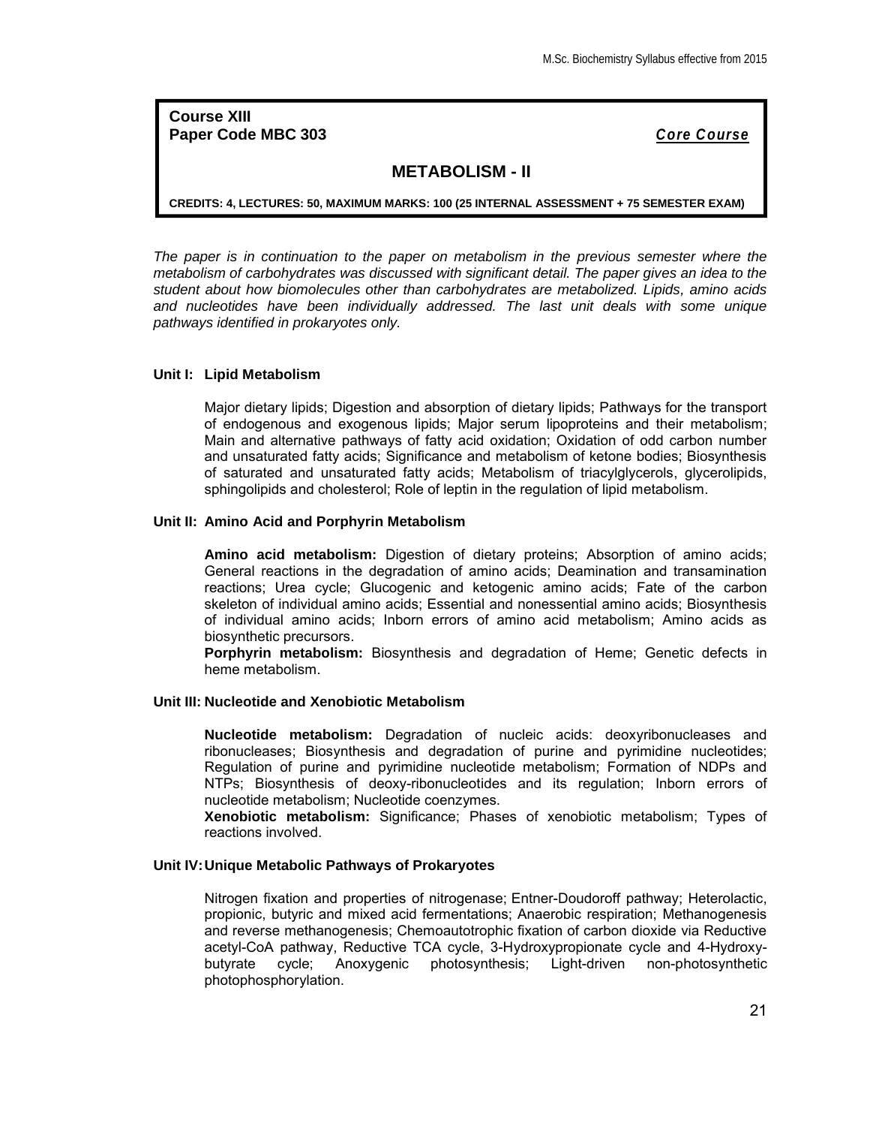**Course XIII Paper Code MBC 303** *Core Course*

## **METABOLISM - II**

**CREDITS: 4, LECTURES: 50, MAXIMUM MARKS: 100 (25 INTERNAL ASSESSMENT + 75 SEMESTER EXAM)**

*The paper is in continuation to the paper on metabolism in the previous semester where the metabolism of carbohydrates was discussed with significant detail. The paper gives an idea to the student about how biomolecules other than carbohydrates are metabolized. Lipids, amino acids and nucleotides have been individually addressed. The last unit deals with some unique pathways identified in prokaryotes only.*

## **Unit I: Lipid Metabolism**

Major dietary lipids; Digestion and absorption of dietary lipids; Pathways for the transport of endogenous and exogenous lipids; Major serum lipoproteins and their metabolism; Main and alternative pathways of fatty acid oxidation; Oxidation of odd carbon number and unsaturated fatty acids; Significance and metabolism of ketone bodies; Biosynthesis of saturated and unsaturated fatty acids; Metabolism of triacylglycerols, glycerolipids, sphingolipids and cholesterol; Role of leptin in the regulation of lipid metabolism.

#### **Unit II: Amino Acid and Porphyrin Metabolism**

**Amino acid metabolism:** Digestion of dietary proteins; Absorption of amino acids; General reactions in the degradation of amino acids; Deamination and transamination reactions; Urea cycle; Glucogenic and ketogenic amino acids; Fate of the carbon skeleton of individual amino acids; Essential and nonessential amino acids; Biosynthesis of individual amino acids; Inborn errors of amino acid metabolism; Amino acids as biosynthetic precursors.

**Porphyrin metabolism:** Biosynthesis and degradation of Heme; Genetic defects in heme metabolism.

#### **Unit III: Nucleotide and Xenobiotic Metabolism**

**Nucleotide metabolism:** Degradation of nucleic acids: deoxyribonucleases and ribonucleases; Biosynthesis and degradation of purine and pyrimidine nucleotides; Regulation of purine and pyrimidine nucleotide metabolism; Formation of NDPs and NTPs; Biosynthesis of deoxy-ribonucleotides and its regulation; Inborn errors of nucleotide metabolism; Nucleotide coenzymes.

**Xenobiotic metabolism:** Significance; Phases of xenobiotic metabolism; Types of reactions involved.

## **Unit IV:Unique Metabolic Pathways of Prokaryotes**

Nitrogen fixation and properties of nitrogenase; Entner-Doudoroff pathway; Heterolactic, propionic, butyric and mixed acid fermentations; Anaerobic respiration; Methanogenesis and reverse methanogenesis; Chemoautotrophic fixation of carbon dioxide via Reductive acetyl-CoA pathway, Reductive TCA cycle, 3-Hydroxypropionate cycle and 4-Hydroxybutyrate cycle; Anoxygenic photosynthesis; Light-driven non-photosynthetic photophosphorylation.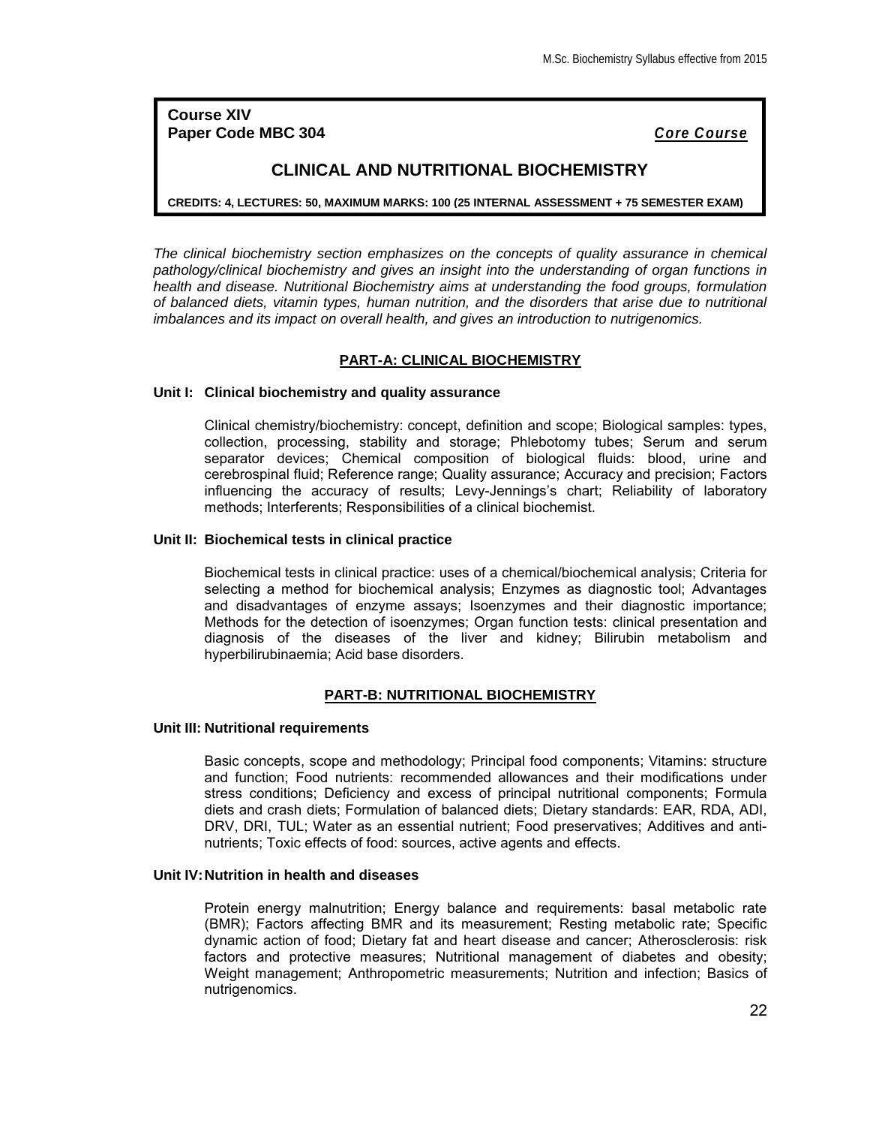**Course XIV Paper Code MBC 304** *Core Course*

## **CLINICAL AND NUTRITIONAL BIOCHEMISTRY**

**CREDITS: 4, LECTURES: 50, MAXIMUM MARKS: 100 (25 INTERNAL ASSESSMENT + 75 SEMESTER EXAM)**

*The clinical biochemistry section emphasizes on the concepts of quality assurance in chemical pathology/clinical biochemistry and gives an insight into the understanding of organ functions in health and disease. Nutritional Biochemistry aims at understanding the food groups, formulation of balanced diets, vitamin types, human nutrition, and the disorders that arise due to nutritional imbalances and its impact on overall health, and gives an introduction to nutrigenomics.*

## **PART-A: CLINICAL BIOCHEMISTRY**

## **Unit I: Clinical biochemistry and quality assurance**

Clinical chemistry/biochemistry: concept, definition and scope; Biological samples: types, collection, processing, stability and storage; Phlebotomy tubes; Serum and serum separator devices; Chemical composition of biological fluids: blood, urine and cerebrospinal fluid; Reference range; Quality assurance; Accuracy and precision; Factors influencing the accuracy of results; Levy-Jennings's chart; Reliability of laboratory methods; Interferents; Responsibilities of a clinical biochemist.

## **Unit II: Biochemical tests in clinical practice**

Biochemical tests in clinical practice: uses of a chemical/biochemical analysis; Criteria for selecting a method for biochemical analysis; Enzymes as diagnostic tool; Advantages and disadvantages of enzyme assays; Isoenzymes and their diagnostic importance; Methods for the detection of isoenzymes; Organ function tests: clinical presentation and diagnosis of the diseases of the liver and kidney; Bilirubin metabolism and hyperbilirubinaemia; Acid base disorders.

## **PART-B: NUTRITIONAL BIOCHEMISTRY**

#### **Unit III: Nutritional requirements**

Basic concepts, scope and methodology; Principal food components; Vitamins: structure and function; Food nutrients: recommended allowances and their modifications under stress conditions; Deficiency and excess of principal nutritional components; Formula diets and crash diets; Formulation of balanced diets; Dietary standards: EAR, RDA, ADI, DRV, DRI, TUL; Water as an essential nutrient; Food preservatives; Additives and antinutrients; Toxic effects of food: sources, active agents and effects.

#### **Unit IV:Nutrition in health and diseases**

Protein energy malnutrition; Energy balance and requirements: basal metabolic rate (BMR); Factors affecting BMR and its measurement; Resting metabolic rate; Specific dynamic action of food; Dietary fat and heart disease and cancer; Atherosclerosis: risk factors and protective measures; Nutritional management of diabetes and obesity; Weight management; Anthropometric measurements; Nutrition and infection; Basics of nutrigenomics.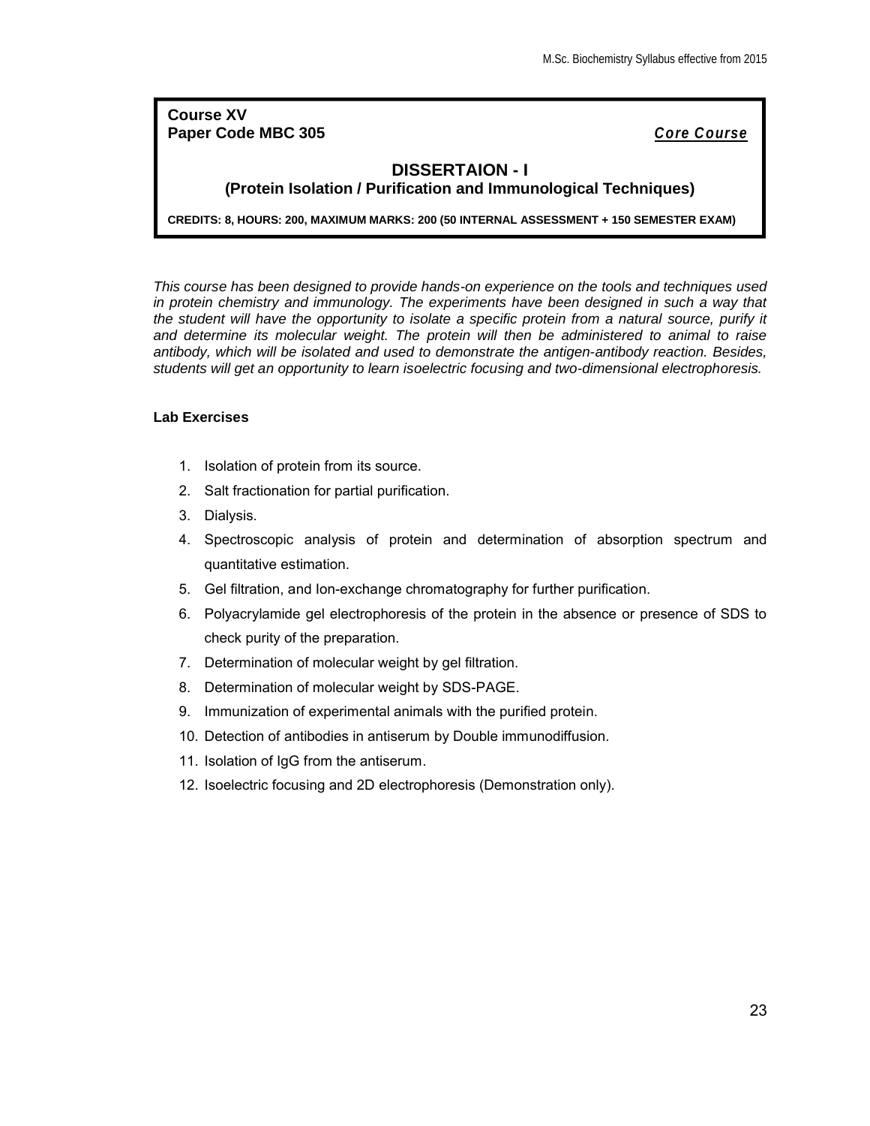**Course XV Paper Code MBC 305** *Core Course*

## **DISSERTAION - I (Protein Isolation / Purification and Immunological Techniques)**

**CREDITS: 8, HOURS: 200, MAXIMUM MARKS: 200 (50 INTERNAL ASSESSMENT + 150 SEMESTER EXAM)**

*This course has been designed to provide hands-on experience on the tools and techniques used*  in protein chemistry and immunology. The experiments have been designed in such a way that the student will have the opportunity to isolate a specific protein from a natural source, purify it *and determine its molecular weight. The protein will then be administered to animal to raise antibody, which will be isolated and used to demonstrate the antigen-antibody reaction. Besides, students will get an opportunity to learn isoelectric focusing and two-dimensional electrophoresis.*

## **Lab Exercises**

- 1. Isolation of protein from its source.
- 2. Salt fractionation for partial purification.
- 3. Dialysis.
- 4. Spectroscopic analysis of protein and determination of absorption spectrum and quantitative estimation.
- 5. Gel filtration, and Ion-exchange chromatography for further purification.
- 6. Polyacrylamide gel electrophoresis of the protein in the absence or presence of SDS to check purity of the preparation.
- 7. Determination of molecular weight by gel filtration.
- 8. Determination of molecular weight by SDS-PAGE.
- 9. Immunization of experimental animals with the purified protein.
- 10. Detection of antibodies in antiserum by Double immunodiffusion.
- 11. Isolation of IgG from the antiserum.
- 12. Isoelectric focusing and 2D electrophoresis (Demonstration only).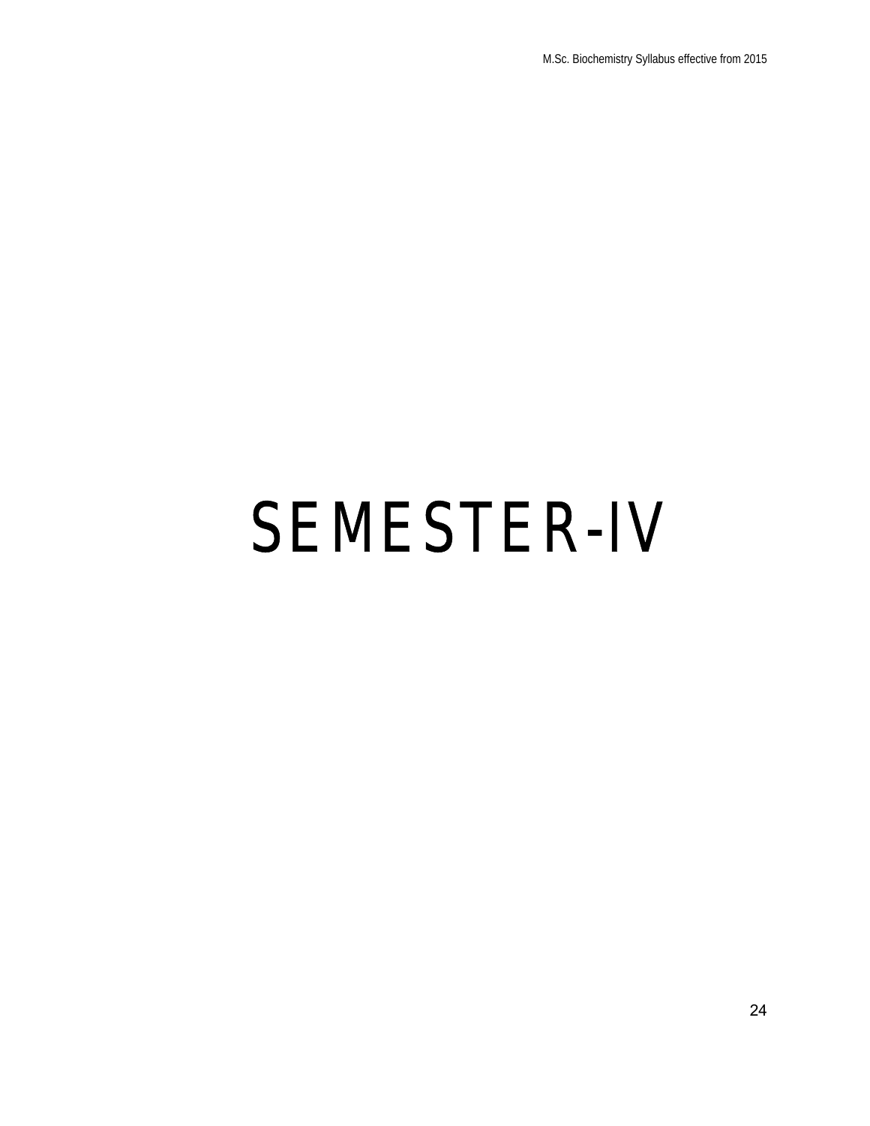# SEMESTER-IV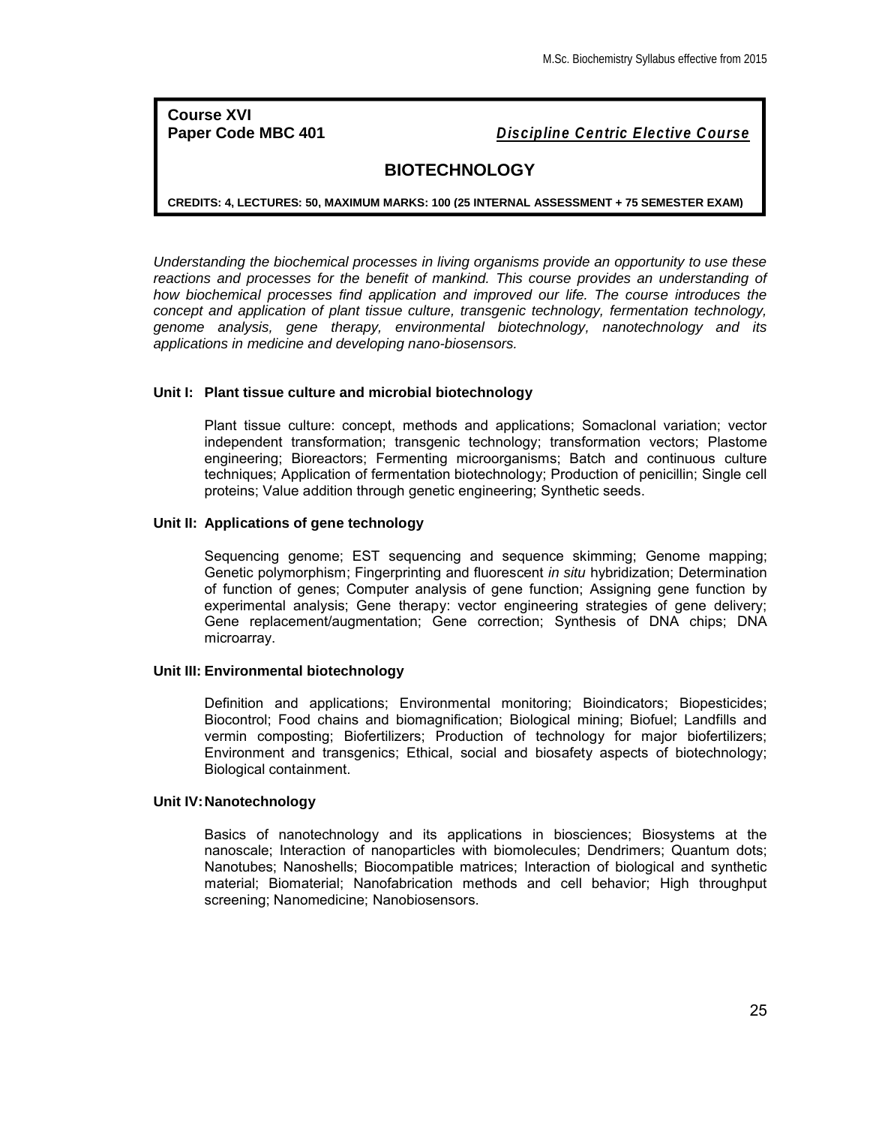**Course XVI**

**Paper Code MBC 401** *Discipline Centric Elective Course*

## **BIOTECHNOLOGY**

**CREDITS: 4, LECTURES: 50, MAXIMUM MARKS: 100 (25 INTERNAL ASSESSMENT + 75 SEMESTER EXAM)**

*Understanding the biochemical processes in living organisms provide an opportunity to use these*  reactions and processes for the benefit of mankind. This course provides an understanding of *how biochemical processes find application and improved our life. The course introduces the concept and application of plant tissue culture, transgenic technology, fermentation technology, genome analysis, gene therapy, environmental biotechnology, nanotechnology and its applications in medicine and developing nano-biosensors.*

## **Unit I: Plant tissue culture and microbial biotechnology**

Plant tissue culture: concept, methods and applications; Somaclonal variation; vector independent transformation; transgenic technology; transformation vectors; Plastome engineering; Bioreactors; Fermenting microorganisms; Batch and continuous culture techniques; Application of fermentation biotechnology; Production of penicillin; Single cell proteins; Value addition through genetic engineering; Synthetic seeds.

#### **Unit II: Applications of gene technology**

Sequencing genome; EST sequencing and sequence skimming; Genome mapping; Genetic polymorphism; Fingerprinting and fluorescent *in situ* hybridization; Determination of function of genes; Computer analysis of gene function; Assigning gene function by experimental analysis; Gene therapy: vector engineering strategies of gene delivery; Gene replacement/augmentation; Gene correction; Synthesis of DNA chips; DNA microarray.

### **Unit III: Environmental biotechnology**

Definition and applications; Environmental monitoring; Bioindicators; Biopesticides; Biocontrol; Food chains and biomagnification; Biological mining; Biofuel; Landfills and vermin composting; Biofertilizers; Production of technology for major biofertilizers; Environment and transgenics; Ethical, social and biosafety aspects of biotechnology; Biological containment.

## **Unit IV:Nanotechnology**

Basics of nanotechnology and its applications in biosciences; Biosystems at the nanoscale; Interaction of nanoparticles with biomolecules; Dendrimers; Quantum dots; Nanotubes; Nanoshells; Biocompatible matrices; Interaction of biological and synthetic material; Biomaterial; Nanofabrication methods and cell behavior; High throughput screening; Nanomedicine; Nanobiosensors.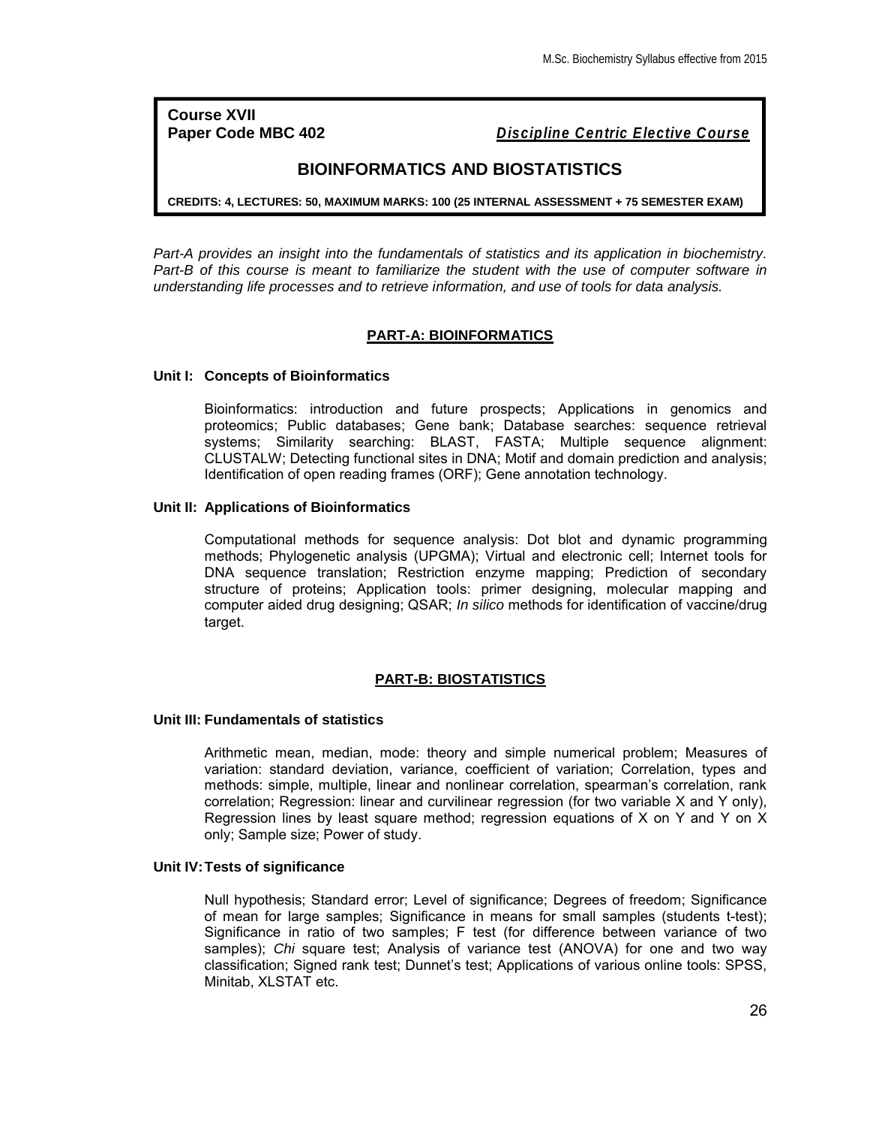**Course XVII**

**Paper Code MBC 402** *Discipline Centric Elective Course*

## **BIOINFORMATICS AND BIOSTATISTICS**

**CREDITS: 4, LECTURES: 50, MAXIMUM MARKS: 100 (25 INTERNAL ASSESSMENT + 75 SEMESTER EXAM)**

*Part-A provides an insight into the fundamentals of statistics and its application in biochemistry. Part-B of this course is meant to familiarize the student with the use of computer software in understanding life processes and to retrieve information, and use of tools for data analysis.*

## **PART-A: BIOINFORMATICS**

#### **Unit I: Concepts of Bioinformatics**

Bioinformatics: introduction and future prospects; Applications in genomics and proteomics; Public databases; Gene bank; Database searches: sequence retrieval systems; Similarity searching: BLAST, FASTA; Multiple sequence alignment: CLUSTALW; Detecting functional sites in DNA; Motif and domain prediction and analysis; Identification of open reading frames (ORF); Gene annotation technology.

#### **Unit II: Applications of Bioinformatics**

Computational methods for sequence analysis: Dot blot and dynamic programming methods; Phylogenetic analysis (UPGMA); Virtual and electronic cell; Internet tools for DNA sequence translation; Restriction enzyme mapping; Prediction of secondary structure of proteins; Application tools: primer designing, molecular mapping and computer aided drug designing; QSAR; *In silico* methods for identification of vaccine/drug target.

## **PART-B: BIOSTATISTICS**

#### **Unit III: Fundamentals of statistics**

Arithmetic mean, median, mode: theory and simple numerical problem; Measures of variation: standard deviation, variance, coefficient of variation; Correlation, types and methods: simple, multiple, linear and nonlinear correlation, spearman's correlation, rank correlation; Regression: linear and curvilinear regression (for two variable X and Y only), Regression lines by least square method; regression equations of X on Y and Y on X only; Sample size; Power of study.

## **Unit IV:Tests of significance**

Null hypothesis; Standard error; Level of significance; Degrees of freedom; Significance of mean for large samples; Significance in means for small samples (students t-test); Significance in ratio of two samples; F test (for difference between variance of two samples); *Chi* square test; Analysis of variance test (ANOVA) for one and two way classification; Signed rank test; Dunnet's test; Applications of various online tools: SPSS, Minitab, XLSTAT etc.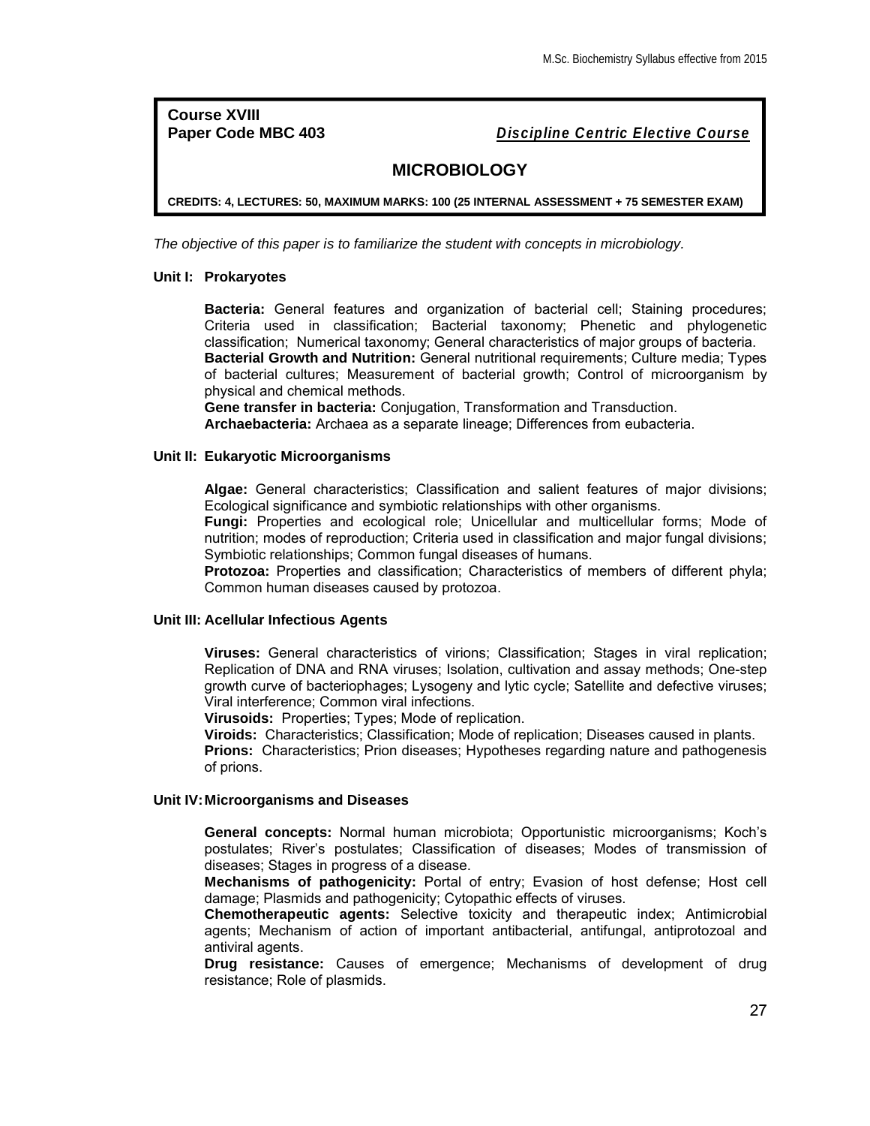**Course XVIII**

**Paper Code MBC 403** *Discipline Centric Elective Course*

## **MICROBIOLOGY**

**CREDITS: 4, LECTURES: 50, MAXIMUM MARKS: 100 (25 INTERNAL ASSESSMENT + 75 SEMESTER EXAM)**

*The objective of this paper is to familiarize the student with concepts in microbiology.*

## **Unit I: Prokaryotes**

**Bacteria:** General features and organization of bacterial cell; Staining procedures; Criteria used in classification; Bacterial taxonomy; Phenetic and phylogenetic classification; Numerical taxonomy; General characteristics of major groups of bacteria. **Bacterial Growth and Nutrition:** General nutritional requirements; Culture media; Types of bacterial cultures; Measurement of bacterial growth; Control of microorganism by physical and chemical methods.

**Gene transfer in bacteria:** Conjugation, Transformation and Transduction. **Archaebacteria:** Archaea as a separate lineage; Differences from eubacteria.

#### **Unit II: Eukaryotic Microorganisms**

**Algae:** General characteristics; Classification and salient features of major divisions; Ecological significance and symbiotic relationships with other organisms.

**Fungi:** Properties and ecological role; Unicellular and multicellular forms; Mode of nutrition; modes of reproduction; Criteria used in classification and major fungal divisions; Symbiotic relationships; Common fungal diseases of humans.

**Protozoa:** Properties and classification; Characteristics of members of different phyla; Common human diseases caused by protozoa.

#### **Unit III: Acellular Infectious Agents**

**Viruses:** General characteristics of virions; Classification; Stages in viral replication; Replication of DNA and RNA viruses; Isolation, cultivation and assay methods; One-step growth curve of bacteriophages; Lysogeny and lytic cycle; Satellite and defective viruses; Viral interference; Common viral infections.

**Virusoids:** Properties; Types; Mode of replication.

**Viroids:** Characteristics; Classification; Mode of replication; Diseases caused in plants.

**Prions:** Characteristics; Prion diseases; Hypotheses regarding nature and pathogenesis of prions.

#### **Unit IV:Microorganisms and Diseases**

**General concepts:** Normal human microbiota; Opportunistic microorganisms; Koch's postulates; River's postulates; Classification of diseases; Modes of transmission of diseases; Stages in progress of a disease.

**Mechanisms of pathogenicity:** Portal of entry; Evasion of host defense; Host cell damage; Plasmids and pathogenicity; Cytopathic effects of viruses.

**Chemotherapeutic agents:** Selective toxicity and therapeutic index; Antimicrobial agents; Mechanism of action of important antibacterial, antifungal, antiprotozoal and antiviral agents.

**Drug resistance:** Causes of emergence; Mechanisms of development of drug resistance; Role of plasmids.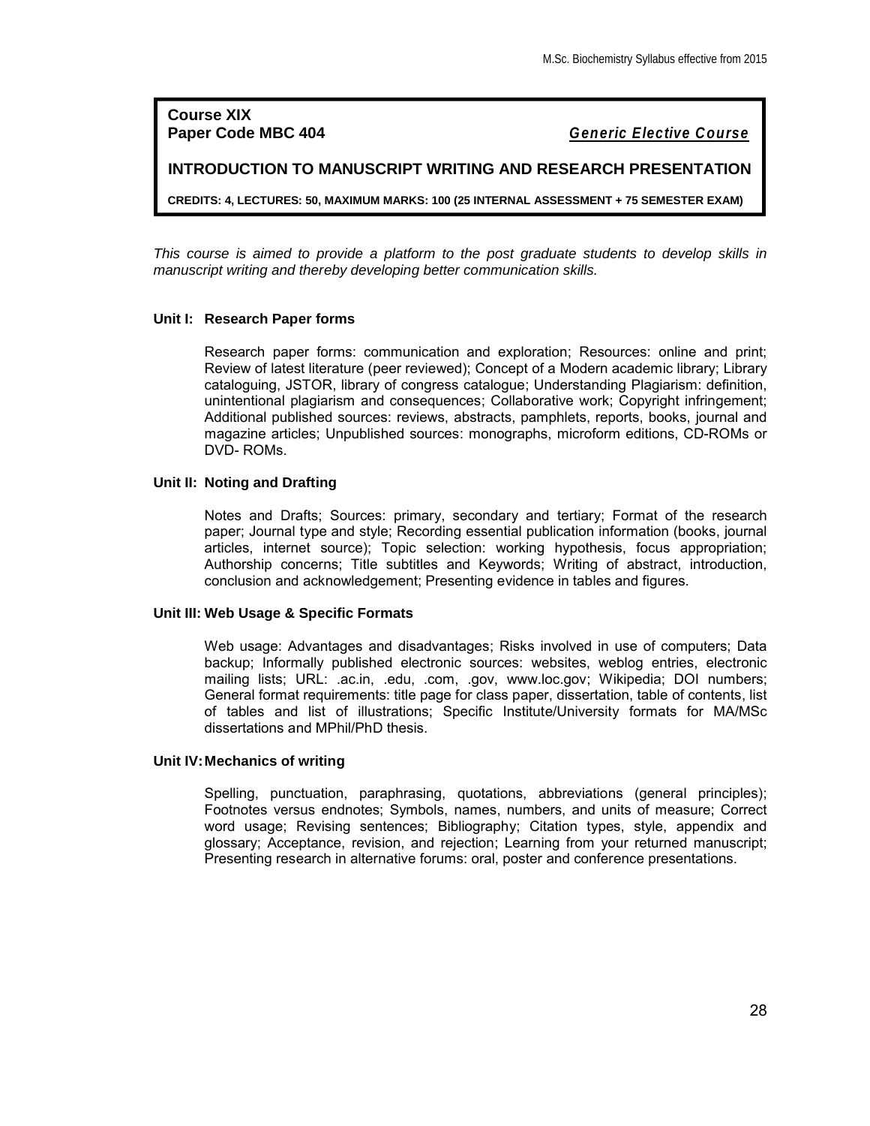**Course XIX**

**Paper Code MBC 404** *Generic Elective Course*

**INTRODUCTION TO MANUSCRIPT WRITING AND RESEARCH PRESENTATION**

**CREDITS: 4, LECTURES: 50, MAXIMUM MARKS: 100 (25 INTERNAL ASSESSMENT + 75 SEMESTER EXAM)**

*This course is aimed to provide a platform to the post graduate students to develop skills in manuscript writing and thereby developing better communication skills.*

## **Unit I: Research Paper forms**

Research paper forms: communication and exploration; Resources: online and print; Review of latest literature (peer reviewed); Concept of a Modern academic library; Library cataloguing, JSTOR, library of congress catalogue; Understanding Plagiarism: definition, unintentional plagiarism and consequences; Collaborative work; Copyright infringement; Additional published sources: reviews, abstracts, pamphlets, reports, books, journal and magazine articles; Unpublished sources: monographs, microform editions, CD-ROMs or DVD- ROMs.

#### **Unit II: Noting and Drafting**

Notes and Drafts; Sources: primary, secondary and tertiary; Format of the research paper; Journal type and style; Recording essential publication information (books, journal articles, internet source); Topic selection: working hypothesis, focus appropriation; Authorship concerns; Title subtitles and Keywords; Writing of abstract, introduction, conclusion and acknowledgement; Presenting evidence in tables and figures.

#### **Unit III: Web Usage & Specific Formats**

Web usage: Advantages and disadvantages; Risks involved in use of computers; Data backup; Informally published electronic sources: websites, weblog entries, electronic mailing lists; URL: .ac.in, .edu, .com, .gov, www.loc.gov; Wikipedia; DOI numbers; General format requirements: title page for class paper, dissertation, table of contents, list of tables and list of illustrations; Specific Institute/University formats for MA/MSc dissertations and MPhil/PhD thesis.

## **Unit IV:Mechanics of writing**

Spelling, punctuation, paraphrasing, quotations, abbreviations (general principles); Footnotes versus endnotes; Symbols, names, numbers, and units of measure; Correct word usage; Revising sentences; Bibliography; Citation types, style, appendix and glossary; Acceptance, revision, and rejection; Learning from your returned manuscript; Presenting research in alternative forums: oral, poster and conference presentations.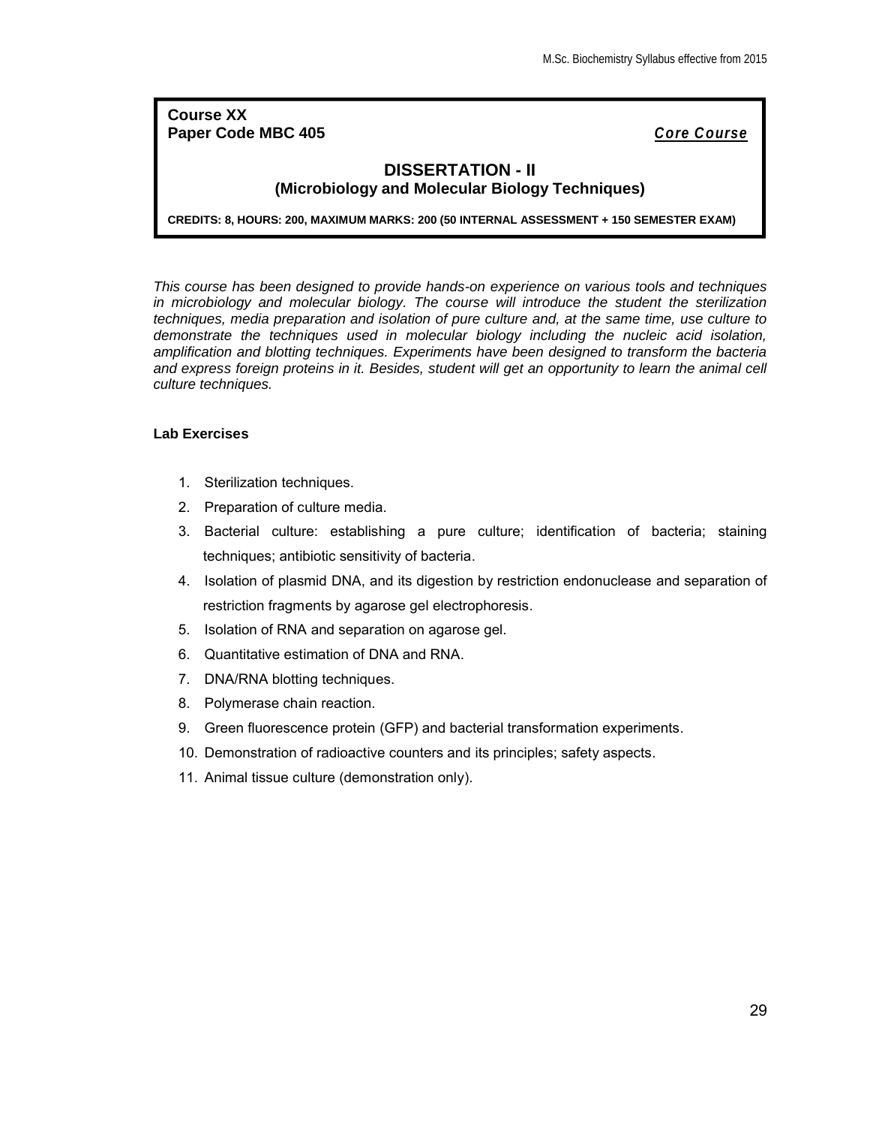## **Course XX Paper Code MBC 405** *Core Course*

## **DISSERTATION - II (Microbiology and Molecular Biology Techniques)**

**CREDITS: 8, HOURS: 200, MAXIMUM MARKS: 200 (50 INTERNAL ASSESSMENT + 150 SEMESTER EXAM)**

*This course has been designed to provide hands-on experience on various tools and techniques in microbiology and molecular biology. The course will introduce the student the sterilization techniques, media preparation and isolation of pure culture and, at the same time, use culture to demonstrate the techniques used in molecular biology including the nucleic acid isolation, amplification and blotting techniques. Experiments have been designed to transform the bacteria*  and express foreign proteins in it. Besides, student will get an opportunity to learn the animal cell *culture techniques.*

## **Lab Exercises**

- 1. Sterilization techniques.
- 2. Preparation of culture media.
- 3. Bacterial culture: establishing a pure culture; identification of bacteria; staining techniques; antibiotic sensitivity of bacteria.
- 4. Isolation of plasmid DNA, and its digestion by restriction endonuclease and separation of restriction fragments by agarose gel electrophoresis.
- 5. Isolation of RNA and separation on agarose gel.
- 6. Quantitative estimation of DNA and RNA.
- 7. DNA/RNA blotting techniques.
- 8. Polymerase chain reaction.
- 9. Green fluorescence protein (GFP) and bacterial transformation experiments.
- 10. Demonstration of radioactive counters and its principles; safety aspects.
- 11. Animal tissue culture (demonstration only).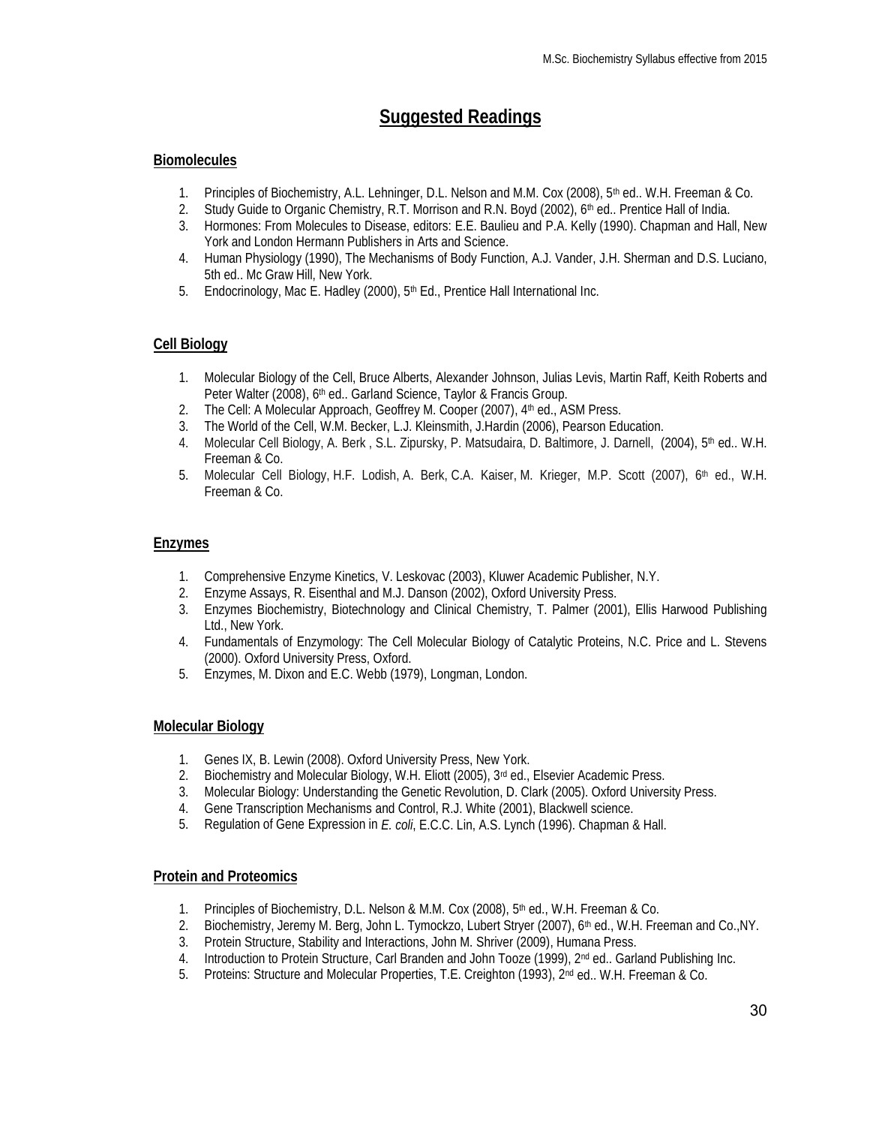# **Suggested Readings**

## **Biomolecules**

- 1. Principles of Biochemistry, A.L. Lehninger, D.L. Nelson and M.M. Cox (2008), 5<sup>th</sup> ed.. W.H. Freeman & Co.
- 2. Study Guide to Organic Chemistry, R.T. Morrison and R.N. Boyd (2002), 6<sup>th</sup> ed.. Prentice Hall of India.
- 3. Hormones: From Molecules to Disease, editors: E.E. Baulieu and P.A. Kelly (1990). Chapman and Hall, New York and London Hermann Publishers in Arts and Science.
- 4. Human Physiology (1990), The Mechanisms of Body Function, A.J. Vander, J.H. Sherman and D.S. Luciano, 5th ed.. Mc Graw Hill, New York.
- 5. Endocrinology, Mac E. Hadley (2000), 5<sup>th</sup> Ed., Prentice Hall International Inc.

## **Cell Biology**

- 1. Molecular Biology of the Cell, Bruce Alberts, Alexander Johnson, Julias Levis, Martin Raff, Keith Roberts and Peter Walter (2008), 6<sup>th</sup> ed., Garland Science, Taylor & Francis Group.
- 2. The Cell: A Molecular Approach, Geoffrey M. Cooper (2007), 4<sup>th</sup> ed., ASM Press.
- 3. The World of the Cell, W.M. Becker, L.J. Kleinsmith, J.Hardin (2006), Pearson Education.
- 4. Molecular Cell Biology, A. Berk, S.L. Zipursky, P. Matsudaira, D. Baltimore, J. Darnell, (2004), 5<sup>th</sup> ed.. W.H. Freeman & Co.
- 5. Molecular Cell Biology, H.F. Lodish, A. Berk, C.A. Kaiser, M. Krieger, M.P. Scott (2007), 6<sup>th</sup> ed., W.H. Freeman & Co.

## **Enzymes**

- 1. Comprehensive Enzyme Kinetics, V. Leskovac (2003), Kluwer Academic Publisher, N.Y.
- 2. Enzyme Assays, R. Eisenthal and M.J. Danson (2002), Oxford University Press.
- 3. Enzymes Biochemistry, Biotechnology and Clinical Chemistry, T. Palmer (2001), Ellis Harwood Publishing Ltd., New York.
- 4. Fundamentals of Enzymology: The Cell Molecular Biology of Catalytic Proteins, N.C. Price and L. Stevens (2000). Oxford University Press, Oxford.
- 5. Enzymes, M. Dixon and E.C. Webb (1979), Longman, London.

## **Molecular Biology**

- 1. Genes IX, B. Lewin (2008). Oxford University Press, New York.
- 2. Biochemistry and Molecular Biology, W.H. Eliott (2005), 3<sup>rd</sup> ed., Elsevier Academic Press.
- 3. Molecular Biology: Understanding the Genetic Revolution, D. Clark (2005). Oxford University Press.
- 4. Gene Transcription Mechanisms and Control, R.J. White (2001), Blackwell science.
- 5. Regulation of Gene Expression in *E. coli*, E.C.C. Lin, A.S. Lynch (1996). Chapman & Hall.

## **Protein and Proteomics**

- 1. Principles of Biochemistry, D.L. Nelson & M.M. Cox (2008), 5<sup>th</sup> ed., W.H. Freeman & Co.
- 2. Biochemistry, Jeremy M. Berg, John L. Tymockzo, Lubert Stryer (2007), 6<sup>th</sup> ed., W.H. Freeman and Co., NY.
- 3. Protein Structure, Stability and Interactions, John M. Shriver (2009), Humana Press.
- 4. Introduction to Protein Structure, Carl Branden and John Tooze (1999), 2<sup>nd</sup> ed., Garland Publishing Inc.
- 5. Proteins: Structure and Molecular Properties, T.E. Creighton (1993), 2<sup>nd</sup> ed.. W.H. Freeman & Co.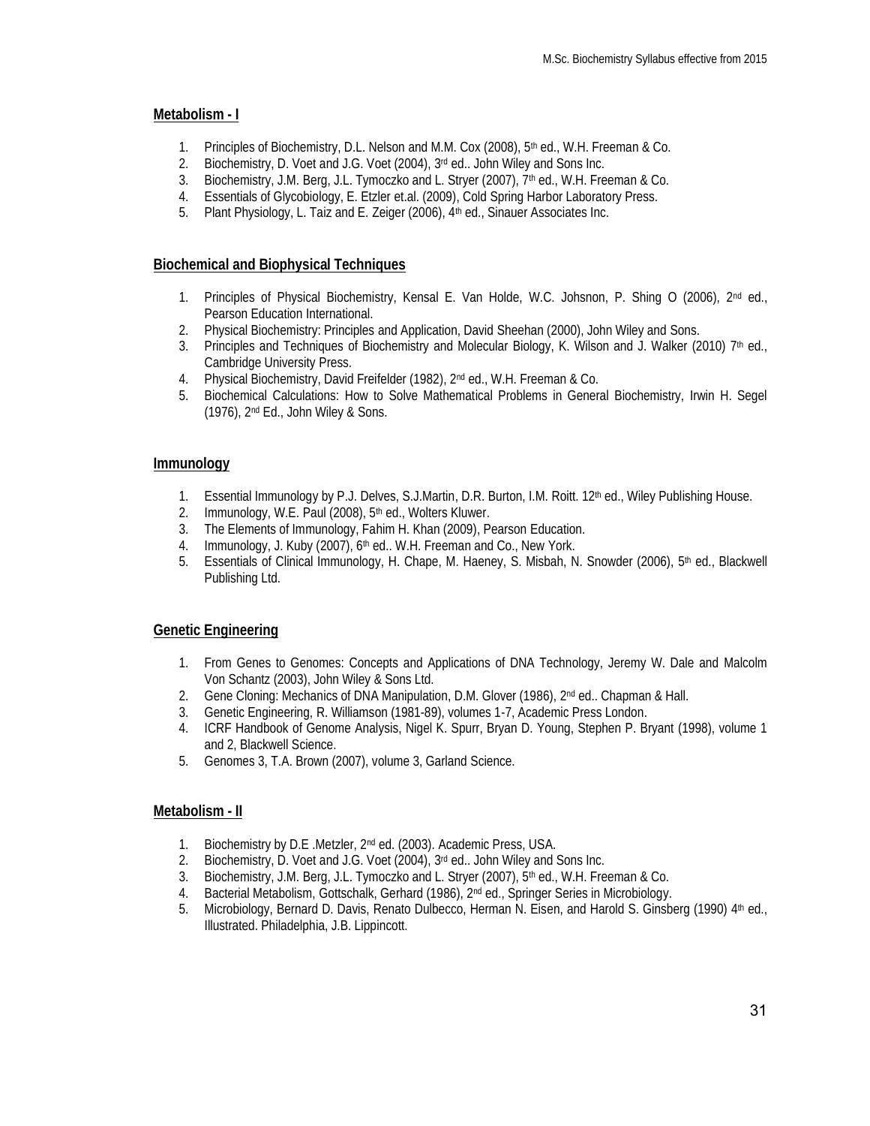## **Metabolism - I**

- 1. Principles of Biochemistry, D.L. Nelson and M.M. Cox (2008), 5<sup>th</sup> ed., W.H. Freeman & Co.
- 2. Biochemistry, D. Voet and J.G. Voet (2004), 3<sup>rd</sup> ed.. John Wiley and Sons Inc.
- 3. Biochemistry, J.M. Berg, J.L. Tymoczko and L. Stryer (2007), 7<sup>th</sup> ed., W.H. Freeman & Co.
- 4. Essentials of Glycobiology, E. Etzler et.al. (2009), Cold Spring Harbor Laboratory Press.
- 5. Plant Physiology, L. Taiz and E. Zeiger (2006), 4<sup>th</sup> ed., Sinauer Associates Inc.

## **Biochemical and Biophysical Techniques**

- 1. Principles of Physical Biochemistry, Kensal E. Van Holde, W.C. Johsnon, P. Shing O (2006), 2nd ed., Pearson Education International.
- 2. Physical Biochemistry: Principles and Application, David Sheehan (2000), John Wiley and Sons.
- 3. Principles and Techniques of Biochemistry and Molecular Biology, K. Wilson and J. Walker (2010) 7<sup>th</sup> ed., Cambridge University Press.
- 4. Physical Biochemistry, David Freifelder (1982), 2nd ed., W.H. Freeman & Co.
- 5. Biochemical Calculations: How to Solve Mathematical Problems in General Biochemistry, Irwin H. Segel (1976), 2nd Ed., John Wiley & Sons.

## **Immunology**

- 1. Essential Immunology by P.J. Delves, S.J.Martin, D.R. Burton, I.M. Roitt. 12<sup>th</sup> ed., Wiley Publishing House.
- 2. Immunology, W.E. Paul (2008), 5<sup>th</sup> ed., Wolters Kluwer.
- 3. The Elements of Immunology, Fahim H. Khan (2009), Pearson Education.
- 4. Immunology, J. Kuby (2007), 6<sup>th</sup> ed.. W.H. Freeman and Co., New York.
- 5. Essentials of Clinical Immunology, H. Chape, M. Haeney, S. Misbah, N. Snowder (2006), 5<sup>th</sup> ed., Blackwell Publishing Ltd.

## **Genetic Engineering**

- 1. From Genes to Genomes: Concepts and Applications of DNA Technology, Jeremy W. Dale and Malcolm Von Schantz (2003), John Wiley & Sons Ltd.
- 2. Gene Cloning: Mechanics of DNA Manipulation, D.M. Glover (1986), 2nd ed.. Chapman & Hall.
- 3. Genetic Engineering, R. Williamson (1981-89), volumes 1-7, Academic Press London.
- 4. ICRF Handbook of Genome Analysis, Nigel K. Spurr, Bryan D. Young, Stephen P. Bryant (1998), volume 1 and 2, Blackwell Science.
- 5. Genomes 3, T.A. Brown (2007), volume 3, Garland Science.

## **Metabolism - II**

- 1. Biochemistry by D.E .Metzler, 2nd ed. (2003). Academic Press, USA.
- 2. Biochemistry, D. Voet and J.G. Voet (2004), 3rd ed.. John Wiley and Sons Inc.
- 3. Biochemistry, J.M. Berg, J.L. Tymoczko and L. Stryer (2007), 5<sup>th</sup> ed., W.H. Freeman & Co.<br>4. Bacterial Metabolism, Gottschalk, Gerhard (1986), 2<sup>nd</sup> ed., Springer Series in Microbiology.
- Bacterial Metabolism, Gottschalk, Gerhard (1986), 2<sup>nd</sup> ed., Springer Series in Microbiology.
- 5. Microbiology, Bernard D. Davis, Renato Dulbecco, Herman N. Eisen, and Harold S. Ginsberg (1990) 4th ed., Illustrated. Philadelphia, J.B. Lippincott.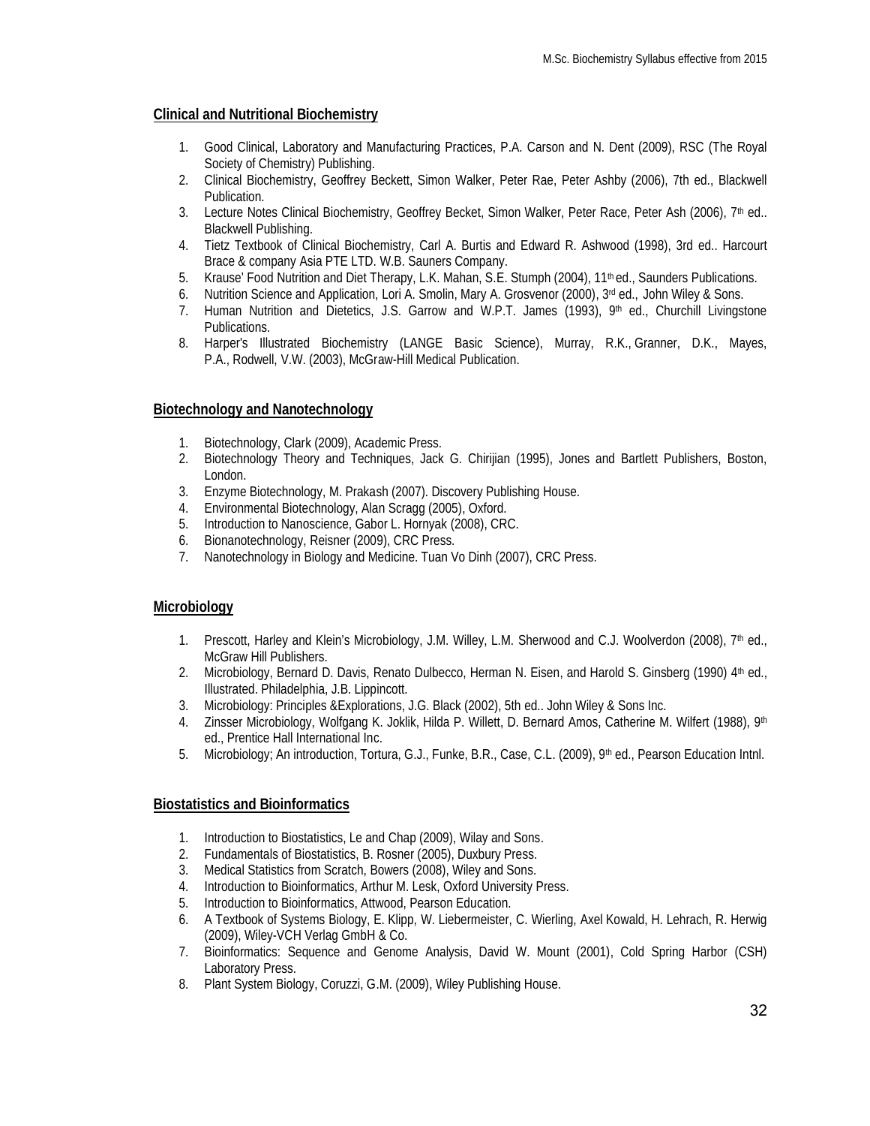## **Clinical and Nutritional Biochemistry**

- 1. Good Clinical, Laboratory and Manufacturing Practices, P.A. Carson and N. Dent (2009), RSC (The Royal Society of Chemistry) Publishing.
- 2. Clinical Biochemistry, Geoffrey Beckett, Simon Walker, Peter Rae, Peter Ashby (2006), 7th ed., Blackwell Publication.
- 3. Lecture Notes Clinical Biochemistry, Geoffrey Becket, Simon Walker, Peter Race, Peter Ash (2006), 7<sup>th</sup> ed.. Blackwell Publishing.
- 4. Tietz Textbook of Clinical Biochemistry, Carl A. Burtis and Edward R. Ashwood (1998), 3rd ed.. Harcourt Brace & company Asia PTE LTD. W.B. Sauners Company.
- 5. Krause' Food Nutrition and Diet Therapy, L.K. Mahan, S.E. Stumph (2004), 11<sup>th</sup> ed., Saunders Publications.
- 6. Nutrition Science and Application, Lori A. Smolin, Mary A. Grosvenor (2000), 3<sup>rd</sup> ed., John Wiley & Sons.
- 7. Human Nutrition and Dietetics, J.S. Garrow and W.P.T. James (1993), 9<sup>th</sup> ed., Churchill Livingstone Publications.
- 8. Harper's Illustrated Biochemistry (LANGE Basic Science), [Murray, R.K.,](http://www.abebooks.com/servlet/SearchResults?an=Murray%2C+Robert+K.&cm_sp=det-_-plp-_-author) [Granner, D.K.,](http://www.abebooks.com/servlet/SearchResults?an=+Granner%2C+Darryl+K.&cm_sp=det-_-plp-_-author) [Mayes,](http://www.abebooks.com/servlet/SearchResults?an=+Mayes%2C+Peter+A.&cm_sp=det-_-plp-_-author)  [P.A.,](http://www.abebooks.com/servlet/SearchResults?an=+Mayes%2C+Peter+A.&cm_sp=det-_-plp-_-author) [Rodwell, V.W. \(](http://www.abebooks.com/servlet/SearchResults?an=+Rodwell%2C+Victor+W.&cm_sp=det-_-plp-_-author)2003), McGraw-Hill Medical Publication.

## **Biotechnology and Nanotechnology**

- 1. Biotechnology, Clark (2009), Academic Press.
- 2. Biotechnology Theory and Techniques, Jack G. Chirijian (1995), Jones and Bartlett Publishers, Boston, London.
- 3. Enzyme Biotechnology, M. Prakash (2007). Discovery Publishing House.
- 4. Environmental Biotechnology, Alan Scragg (2005), Oxford.
- 5. Introduction to Nanoscience, Gabor L. Hornyak (2008), CRC.
- 6. Bionanotechnology, Reisner (2009), CRC Press.
- 7. Nanotechnology in Biology and Medicine. Tuan Vo Dinh (2007), CRC Press.

## **Microbiology**

- 1. Prescott, Harley and Klein's Microbiology, J.M. Willey, L.M. Sherwood and C.J. Woolverdon (2008), 7<sup>th</sup> ed., McGraw Hill Publishers.
- 2. Microbiology, Bernard D. Davis, Renato Dulbecco, Herman N. Eisen, and Harold S. Ginsberg (1990) 4th ed., Illustrated. Philadelphia, J.B. Lippincott.
- 3. Microbiology: Principles &Explorations, J.G. Black (2002), 5th ed.. John Wiley & Sons Inc.
- 4. Zinsser Microbiology, Wolfgang K. Joklik, Hilda P. Willett, D. Bernard Amos, Catherine M. Wilfert (1988), 9<sup>th</sup> ed., Prentice Hall International Inc.
- 5. Microbiology; An introduction, Tortura, G.J., Funke, B.R., Case, C.L. (2009), 9<sup>th</sup> ed., Pearson Education Intnl.

## **Biostatistics and Bioinformatics**

- 1. Introduction to Biostatistics, Le and Chap (2009), Wilay and Sons.
- 2. Fundamentals of Biostatistics, B. Rosner (2005), Duxbury Press.
- 3. Medical Statistics from Scratch, Bowers (2008), Wiley and Sons.
- 4. Introduction to Bioinformatics, Arthur M. Lesk, Oxford University Press.
- 5. Introduction to Bioinformatics, Attwood, Pearson Education.
- 6. A Textbook of Systems Biology, E. Klipp, W. Liebermeister, C. Wierling, Axel Kowald, H. Lehrach, R. Herwig (2009), Wiley-VCH Verlag GmbH & Co.
- 7. Bioinformatics: Sequence and Genome Analysis, David W. Mount (2001), Cold Spring Harbor (CSH) Laboratory Press.
- 8. Plant System Biology, Coruzzi, G.M. (2009), Wiley Publishing House.